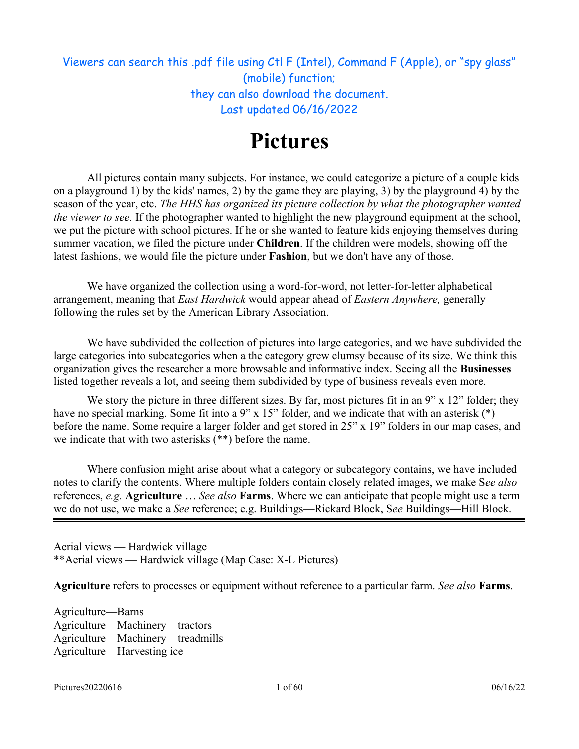## Viewers can search this .pdf file using Ctl F (Intel), Command F (Apple), or "spy glass" (mobile) function; they can also download the document. Last updated 06/16/2022

# **Pictures**

All pictures contain many subjects. For instance, we could categorize a picture of a couple kids on a playground 1) by the kids' names, 2) by the game they are playing, 3) by the playground 4) by the season of the year, etc. *The HHS has organized its picture collection by what the photographer wanted the viewer to see.* If the photographer wanted to highlight the new playground equipment at the school, we put the picture with school pictures. If he or she wanted to feature kids enjoying themselves during summer vacation, we filed the picture under **Children**. If the children were models, showing off the latest fashions, we would file the picture under **Fashion**, but we don't have any of those.

We have organized the collection using a word-for-word, not letter-for-letter alphabetical arrangement, meaning that *East Hardwick* would appear ahead of *Eastern Anywhere,* generally following the rules set by the American Library Association.

We have subdivided the collection of pictures into large categories, and we have subdivided the large categories into subcategories when a the category grew clumsy because of its size. We think this organization gives the researcher a more browsable and informative index. Seeing all the **Businesses** listed together reveals a lot, and seeing them subdivided by type of business reveals even more.

We story the picture in three different sizes. By far, most pictures fit in an 9" x 12" folder; they have no special marking. Some fit into a 9" x 15" folder, and we indicate that with an asterisk (\*) before the name. Some require a larger folder and get stored in 25" x 19" folders in our map cases, and we indicate that with two asterisks (\*\*) before the name.

Where confusion might arise about what a category or subcategory contains, we have included notes to clarify the contents. Where multiple folders contain closely related images, we make S*ee also* references, *e.g.* **Agriculture** … *See also* **Farms**. Where we can anticipate that people might use a term we do not use, we make a *See* reference; e.g. Buildings—Rickard Block, S*ee* Buildings—Hill Block.

Aerial views — Hardwick village \*\*Aerial views — Hardwick village (Map Case: X-L Pictures)

**Agriculture** refers to processes or equipment without reference to a particular farm. *See also* **Farms**.

Agriculture—Barns Agriculture—Machinery—tractors Agriculture – Machinery—treadmills Agriculture—Harvesting ice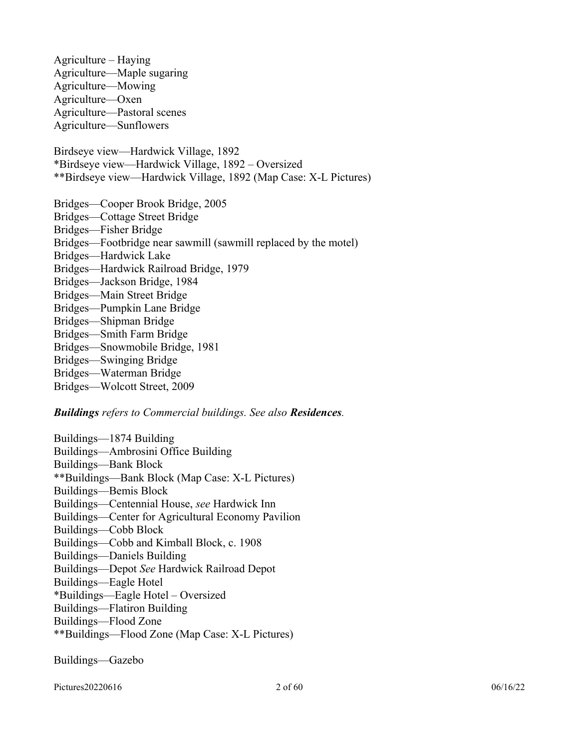Agriculture – Haying Agriculture—Maple sugaring Agriculture—Mowing Agriculture—Oxen Agriculture—Pastoral scenes Agriculture—Sunflowers Birdseye view—Hardwick Village, 1892 \*Birdseye view—Hardwick Village, 1892 – Oversized \*\*Birdseye view—Hardwick Village, 1892 (Map Case: X-L Pictures) Bridges—Cooper Brook Bridge, 2005 Bridges—Cottage Street Bridge Bridges—Fisher Bridge Bridges—Footbridge near sawmill (sawmill replaced by the motel) Bridges—Hardwick Lake Bridges—Hardwick Railroad Bridge, 1979 Bridges—Jackson Bridge, 1984 Bridges—Main Street Bridge Bridges—Pumpkin Lane Bridge Bridges—Shipman Bridge Bridges—Smith Farm Bridge Bridges—Snowmobile Bridge, 1981 Bridges—Swinging Bridge Bridges—Waterman Bridge Bridges—Wolcott Street, 2009

#### *Buildings refers to Commercial buildings. See also Residences.*

Buildings—1874 Building Buildings—Ambrosini Office Building Buildings—Bank Block \*\*Buildings—Bank Block (Map Case: X-L Pictures) Buildings—Bemis Block Buildings—Centennial House, *see* Hardwick Inn Buildings—Center for Agricultural Economy Pavilion Buildings—Cobb Block Buildings—Cobb and Kimball Block, c. 1908 Buildings—Daniels Building Buildings—Depot *See* Hardwick Railroad Depot Buildings—Eagle Hotel \*Buildings—Eagle Hotel – Oversized Buildings—Flatiron Building Buildings—Flood Zone \*\*Buildings—Flood Zone (Map Case: X-L Pictures)

Buildings—Gazebo

Pictures20220616 06/16/22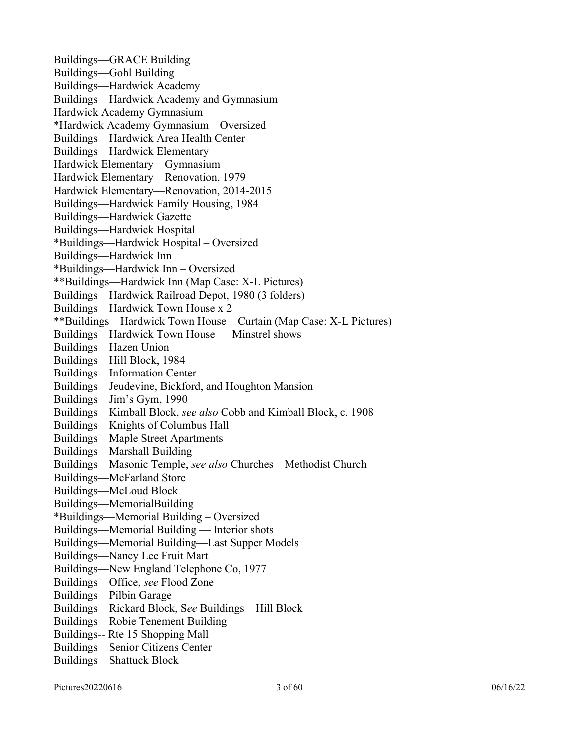Buildings—GRACE Building Buildings—Gohl Building Buildings—Hardwick Academy Buildings—Hardwick Academy and Gymnasium Hardwick Academy Gymnasium \*Hardwick Academy Gymnasium – Oversized Buildings—Hardwick Area Health Center Buildings—Hardwick Elementary Hardwick Elementary—Gymnasium Hardwick Elementary—Renovation, 1979 Hardwick Elementary—Renovation, 2014-2015 Buildings—Hardwick Family Housing, 1984 Buildings—Hardwick Gazette Buildings—Hardwick Hospital \*Buildings—Hardwick Hospital – Oversized Buildings—Hardwick Inn \*Buildings—Hardwick Inn – Oversized \*\*Buildings—Hardwick Inn (Map Case: X-L Pictures) Buildings—Hardwick Railroad Depot, 1980 (3 folders) Buildings—Hardwick Town House x 2 \*\*Buildings – Hardwick Town House – Curtain (Map Case: X-L Pictures) Buildings—Hardwick Town House — Minstrel shows Buildings—Hazen Union Buildings—Hill Block, 1984 Buildings—Information Center Buildings—Jeudevine, Bickford, and Houghton Mansion Buildings—Jim's Gym, 1990 Buildings—Kimball Block, *see also* Cobb and Kimball Block, c. 1908 Buildings—Knights of Columbus Hall Buildings—Maple Street Apartments Buildings—Marshall Building Buildings—Masonic Temple, *see also* Churches—Methodist Church Buildings—McFarland Store Buildings—McLoud Block Buildings—MemorialBuilding \*Buildings—Memorial Building – Oversized Buildings—Memorial Building — Interior shots Buildings—Memorial Building—Last Supper Models Buildings—Nancy Lee Fruit Mart Buildings—New England Telephone Co, 1977 Buildings—Office, *see* Flood Zone Buildings—Pilbin Garage Buildings—Rickard Block, S*ee* Buildings—Hill Block Buildings—Robie Tenement Building Buildings-- Rte 15 Shopping Mall Buildings—Senior Citizens Center Buildings—Shattuck Block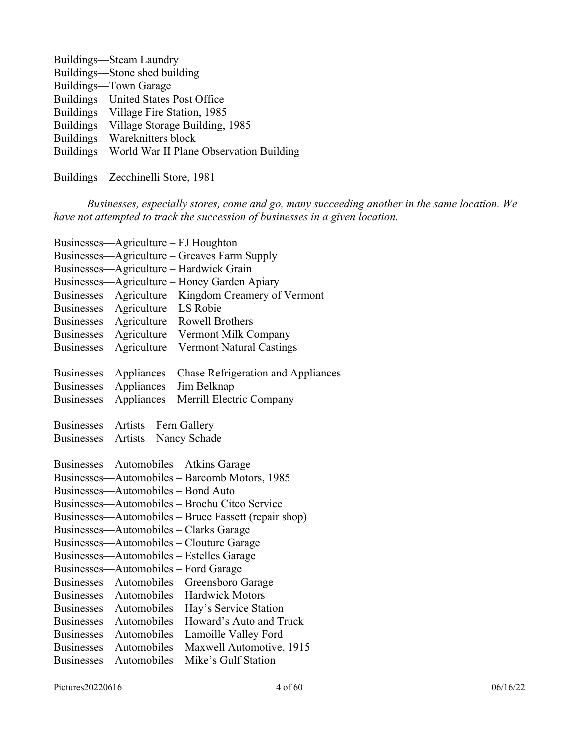| Buildings—Steam Laundry                           |
|---------------------------------------------------|
| Buildings—Stone shed building                     |
| Buildings—Town Garage                             |
| Buildings—United States Post Office               |
| Buildings—Village Fire Station, 1985              |
| Buildings—Village Storage Building, 1985          |
| Buildings—Wareknitters block                      |
| Buildings—World War II Plane Observation Building |
|                                                   |

Buildings—Zecchinelli Store, 1981

*Businesses, especially stores, come and go, many succeeding another in the same location. We have not attempted to track the succession of businesses in a given location.*

| Businesses—Agriculture – FJ Houghton                 |
|------------------------------------------------------|
| Businesses—Agriculture – Greaves Farm Supply         |
| Businesses—Agriculture – Hardwick Grain              |
| Businesses—Agriculture – Honey Garden Apiary         |
| Businesses—Agriculture – Kingdom Creamery of Vermont |
| Businesses—Agriculture – LS Robie                    |
| Businesses—Agriculture – Rowell Brothers             |
| Businesses—Agriculture – Vermont Milk Company        |
| Businesses—Agriculture – Vermont Natural Castings    |
|                                                      |

Businesses—Appliances – Chase Refrigeration and Appliances

Businesses—Appliances – Jim Belknap

Businesses—Appliances – Merrill Electric Company

Businesses—Artists – Fern Gallery Businesses—Artists – Nancy Schade

| Businesses—Automobiles - Atkins Garage               |
|------------------------------------------------------|
| Businesses—Automobiles – Barcomb Motors, 1985        |
| Businesses—Automobiles – Bond Auto                   |
| Businesses—Automobiles – Brochu Citco Service        |
| Businesses—Automobiles – Bruce Fassett (repair shop) |
| Businesses—Automobiles – Clarks Garage               |
| Businesses—Automobiles – Clouture Garage             |
| Businesses—Automobiles – Estelles Garage             |
| Businesses—Automobiles – Ford Garage                 |
| Businesses—Automobiles – Greensboro Garage           |
| Businesses—Automobiles - Hardwick Motors             |
| Businesses—Automobiles – Hay's Service Station       |
| Businesses—Automobiles – Howard's Auto and Truck     |
| Businesses—Automobiles – Lamoille Valley Ford        |
| Businesses—Automobiles - Maxwell Automotive, 1915    |
| Businesses—Automobiles - Mike's Gulf Station         |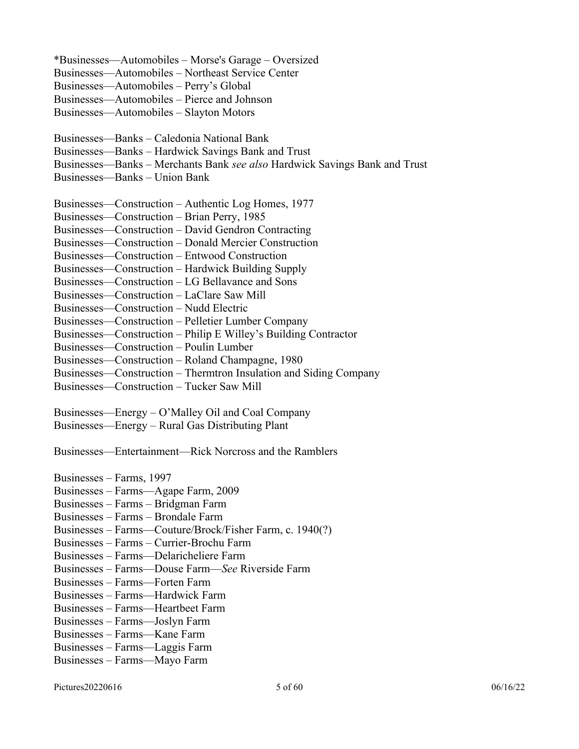\*Businesses—Automobiles – Morse's Garage – Oversized

Businesses—Automobiles – Northeast Service Center

Businesses—Automobiles – Perry's Global

Businesses—Automobiles – Pierce and Johnson

Businesses—Automobiles – Slayton Motors

Businesses—Banks – Caledonia National Bank

Businesses—Banks – Hardwick Savings Bank and Trust

Businesses—Banks – Merchants Bank *see also* Hardwick Savings Bank and Trust

Businesses—Banks – Union Bank

Businesses—Construction – Authentic Log Homes, 1977

Businesses—Construction – Brian Perry, 1985

Businesses—Construction – David Gendron Contracting

Businesses—Construction – Donald Mercier Construction

Businesses—Construction – Entwood Construction

Businesses—Construction – Hardwick Building Supply

Businesses—Construction – LG Bellavance and Sons

Businesses—Construction – LaClare Saw Mill

Businesses—Construction – Nudd Electric

Businesses—Construction – Pelletier Lumber Company

Businesses—Construction – Philip E Willey's Building Contractor

Businesses—Construction – Poulin Lumber

Businesses—Construction – Roland Champagne, 1980

Businesses—Construction – Thermtron Insulation and Siding Company

Businesses—Construction – Tucker Saw Mill

Businesses—Energy – O'Malley Oil and Coal Company

Businesses—Energy – Rural Gas Distributing Plant

Businesses—Entertainment—Rick Norcross and the Ramblers

Businesses – Farms, 1997 Businesses – Farms—Agape Farm, 2009

Businesses – Farms – Bridgman Farm

Businesses – Farms – Brondale Farm

Businesses – Farms—Couture/Brock/Fisher Farm, c. 1940(?)

Businesses – Farms – Currier-Brochu Farm

Businesses – Farms—Delaricheliere Farm

Businesses – Farms—Douse Farm—*See* Riverside Farm

Businesses – Farms—Forten Farm

Businesses – Farms—Hardwick Farm

Businesses – Farms—Heartbeet Farm

Businesses – Farms—Joslyn Farm

Businesses – Farms—Kane Farm

Businesses – Farms—Laggis Farm

Businesses – Farms—Mayo Farm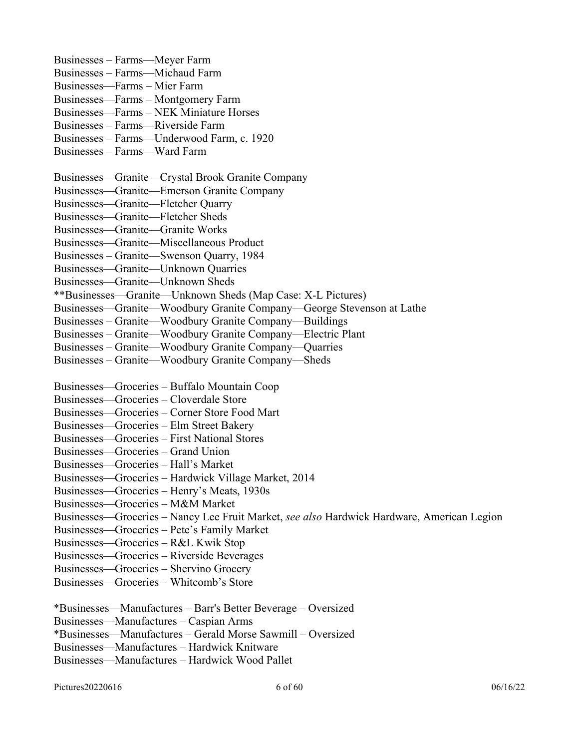Businesses – Farms—Meyer Farm Businesses – Farms—Michaud Farm Businesses—Farms – Mier Farm Businesses—Farms – Montgomery Farm Businesses—Farms – NEK Miniature Horses Businesses – Farms—Riverside Farm Businesses – Farms—Underwood Farm, c. 1920 Businesses – Farms—Ward Farm Businesses—Granite—Crystal Brook Granite Company Businesses—Granite—Emerson Granite Company Businesses—Granite—Fletcher Quarry Businesses—Granite—Fletcher Sheds Businesses—Granite—Granite Works Businesses—Granite—Miscellaneous Product Businesses – Granite—Swenson Quarry, 1984 Businesses—Granite—Unknown Quarries Businesses—Granite—Unknown Sheds \*\*Businesses—Granite—Unknown Sheds (Map Case: X-L Pictures) Businesses—Granite—Woodbury Granite Company—George Stevenson at Lathe Businesses – Granite—Woodbury Granite Company—Buildings Businesses – Granite—Woodbury Granite Company—Electric Plant Businesses – Granite—Woodbury Granite Company—Quarries Businesses – Granite—Woodbury Granite Company—Sheds Businesses—Groceries – Buffalo Mountain Coop Businesses—Groceries – Cloverdale Store Businesses—Groceries – Corner Store Food Mart Businesses—Groceries – Elm Street Bakery Businesses—Groceries – First National Stores Businesses—Groceries – Grand Union Businesses—Groceries – Hall's Market Businesses—Groceries – Hardwick Village Market, 2014 Businesses—Groceries – Henry's Meats, 1930s Businesses—Groceries – M&M Market Businesses—Groceries – Nancy Lee Fruit Market, *see also* Hardwick Hardware, American Legion Businesses—Groceries – Pete's Family Market Businesses—Groceries – R&L Kwik Stop Businesses—Groceries – Riverside Beverages Businesses—Groceries – Shervino Grocery Businesses—Groceries – Whitcomb's Store \*Businesses—Manufactures – Barr's Better Beverage – Oversized Businesses—Manufactures – Caspian Arms \*Businesses—Manufactures – Gerald Morse Sawmill – Oversized

Businesses—Manufactures – Hardwick Knitware

Businesses—Manufactures – Hardwick Wood Pallet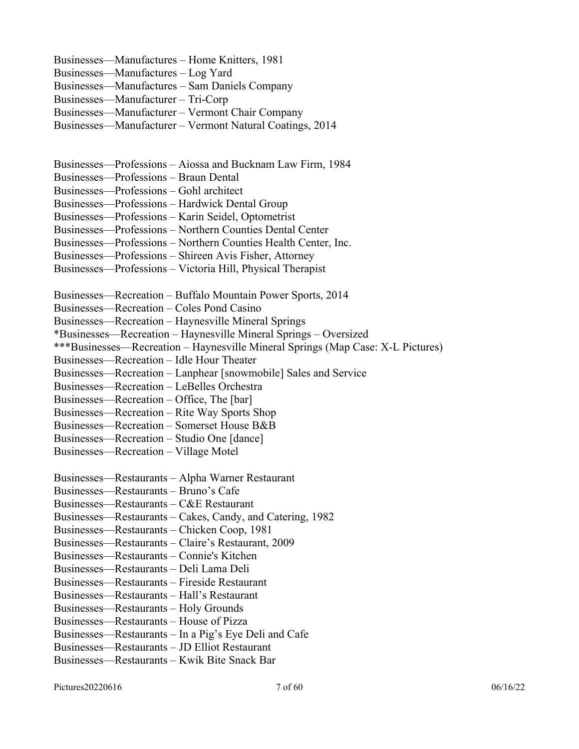Businesses—Manufactures – Home Knitters, 1981 Businesses—Manufactures – Log Yard Businesses—Manufactures – Sam Daniels Company Businesses—Manufacturer – Tri-Corp Businesses—Manufacturer – Vermont Chair Company Businesses—Manufacturer – Vermont Natural Coatings, 2014

Businesses—Professions – Aiossa and Bucknam Law Firm, 1984

Businesses—Professions – Braun Dental

Businesses—Professions – Gohl architect

Businesses—Professions – Hardwick Dental Group

Businesses—Professions – Karin Seidel, Optometrist

Businesses—Professions – Northern Counties Dental Center

Businesses—Professions – Northern Counties Health Center, Inc.

Businesses—Professions – Shireen Avis Fisher, Attorney

Businesses—Professions – Victoria Hill, Physical Therapist

Businesses—Recreation – Buffalo Mountain Power Sports, 2014

Businesses—Recreation – Coles Pond Casino

Businesses—Recreation – Haynesville Mineral Springs

\*Businesses—Recreation – Haynesville Mineral Springs – Oversized

\*\*\*Businesses—Recreation – Haynesville Mineral Springs (Map Case: X-L Pictures)

Businesses—Recreation – Idle Hour Theater

Businesses—Recreation – Lanphear [snowmobile] Sales and Service

Businesses—Recreation – LeBelles Orchestra

Businesses—Recreation – Office, The [bar]

Businesses—Recreation – Rite Way Sports Shop

Businesses—Recreation – Somerset House B&B

Businesses—Recreation – Studio One [dance]

Businesses—Recreation – Village Motel

Businesses—Restaurants – Alpha Warner Restaurant

Businesses—Restaurants – Bruno's Cafe

Businesses—Restaurants – C&E Restaurant

Businesses—Restaurants – Cakes, Candy, and Catering, 1982

Businesses—Restaurants – Chicken Coop, 1981

Businesses—Restaurants – Claire's Restaurant, 2009

Businesses—Restaurants – Connie's Kitchen

Businesses—Restaurants – Deli Lama Deli

Businesses—Restaurants – Fireside Restaurant

Businesses—Restaurants – Hall's Restaurant

Businesses—Restaurants – Holy Grounds

Businesses—Restaurants – House of Pizza

Businesses—Restaurants – In a Pig's Eye Deli and Cafe

Businesses—Restaurants – JD Elliot Restaurant

Businesses—Restaurants – Kwik Bite Snack Bar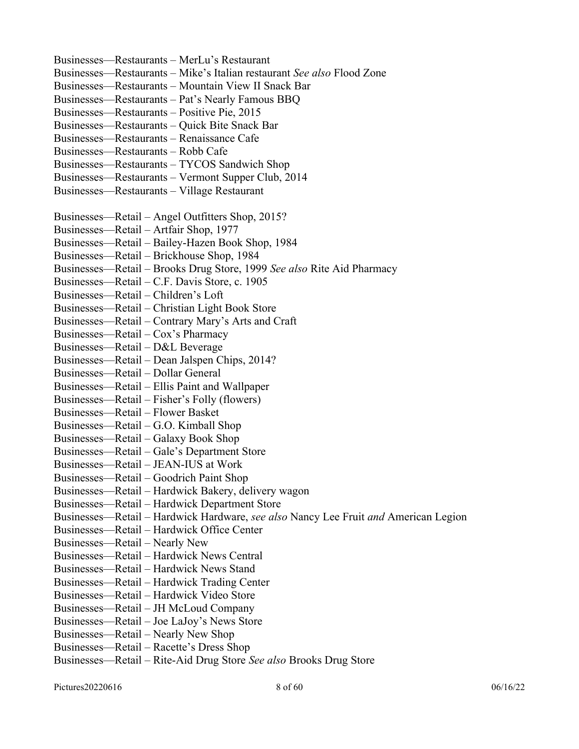Businesses—Restaurants – MerLu's Restaurant Businesses—Restaurants – Mike's Italian restaurant *See also* Flood Zone Businesses—Restaurants – Mountain View II Snack Bar Businesses—Restaurants – Pat's Nearly Famous BBQ Businesses—Restaurants – Positive Pie, 2015 Businesses—Restaurants – Quick Bite Snack Bar Businesses—Restaurants – Renaissance Cafe Businesses—Restaurants – Robb Cafe Businesses—Restaurants – TYCOS Sandwich Shop Businesses—Restaurants – Vermont Supper Club, 2014 Businesses—Restaurants – Village Restaurant Businesses—Retail – Angel Outfitters Shop, 2015? Businesses—Retail – Artfair Shop, 1977 Businesses—Retail – Bailey-Hazen Book Shop, 1984 Businesses—Retail – Brickhouse Shop, 1984 Businesses—Retail – Brooks Drug Store, 1999 *See also* Rite Aid Pharmacy Businesses—Retail – C.F. Davis Store, c. 1905 Businesses—Retail – Children's Loft Businesses—Retail – Christian Light Book Store Businesses—Retail – Contrary Mary's Arts and Craft Businesses—Retail – Cox's Pharmacy Businesses—Retail – D&L Beverage Businesses—Retail – Dean Jalspen Chips, 2014? Businesses—Retail – Dollar General Businesses—Retail – Ellis Paint and Wallpaper Businesses—Retail – Fisher's Folly (flowers) Businesses—Retail – Flower Basket Businesses—Retail – G.O. Kimball Shop Businesses—Retail – Galaxy Book Shop Businesses—Retail – Gale's Department Store Businesses—Retail – JEAN-IUS at Work Businesses—Retail – Goodrich Paint Shop Businesses—Retail – Hardwick Bakery, delivery wagon Businesses—Retail – Hardwick Department Store Businesses—Retail – Hardwick Hardware, *see also* Nancy Lee Fruit *and* American Legion Businesses—Retail – Hardwick Office Center Businesses—Retail – Nearly New Businesses—Retail – Hardwick News Central Businesses—Retail – Hardwick News Stand Businesses—Retail – Hardwick Trading Center Businesses—Retail – Hardwick Video Store Businesses—Retail – JH McLoud Company Businesses—Retail – Joe LaJoy's News Store Businesses—Retail – Nearly New Shop Businesses—Retail – Racette's Dress Shop Businesses—Retail – Rite-Aid Drug Store *See also* Brooks Drug Store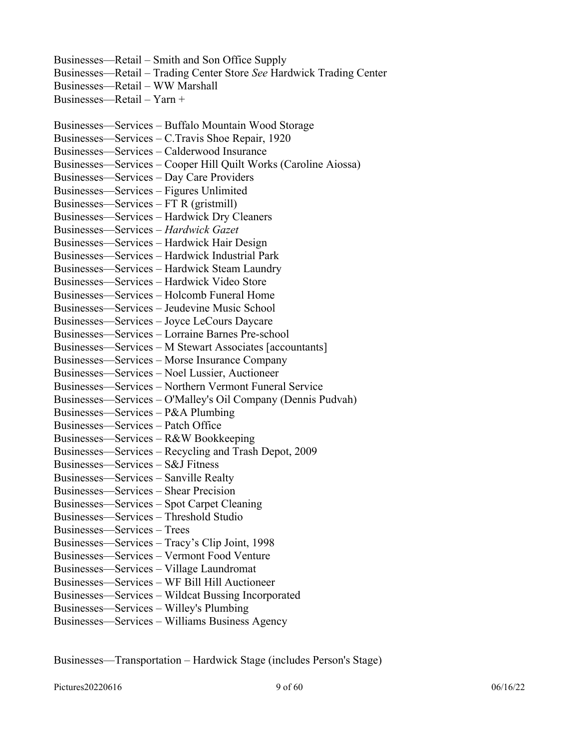Businesses—Retail – Smith and Son Office Supply Businesses—Retail – Trading Center Store *See* Hardwick Trading Center Businesses—Retail – WW Marshall Businesses—Retail – Yarn + Businesses—Services – Buffalo Mountain Wood Storage Businesses—Services – C.Travis Shoe Repair, 1920 Businesses—Services – Calderwood Insurance Businesses—Services – Cooper Hill Quilt Works (Caroline Aiossa) Businesses—Services – Day Care Providers Businesses—Services – Figures Unlimited Businesses—Services – FT R (gristmill) Businesses—Services – Hardwick Dry Cleaners Businesses—Services – *Hardwick Gazet* Businesses—Services – Hardwick Hair Design Businesses—Services – Hardwick Industrial Park Businesses—Services – Hardwick Steam Laundry Businesses—Services – Hardwick Video Store Businesses—Services – Holcomb Funeral Home Businesses—Services – Jeudevine Music School Businesses—Services – Joyce LeCours Daycare Businesses—Services – Lorraine Barnes Pre-school Businesses—Services – M Stewart Associates [accountants] Businesses—Services – Morse Insurance Company Businesses—Services – Noel Lussier, Auctioneer Businesses—Services – Northern Vermont Funeral Service Businesses—Services – O'Malley's Oil Company (Dennis Pudvah) Businesses—Services – P&A Plumbing Businesses—Services – Patch Office Businesses—Services – R&W Bookkeeping Businesses—Services – Recycling and Trash Depot, 2009 Businesses—Services – S&J Fitness

- Businesses—Services Sanville Realty
- Businesses—Services Shear Precision
- Businesses—Services Spot Carpet Cleaning
- Businesses—Services Threshold Studio
- Businesses—Services Trees
- Businesses—Services Tracy's Clip Joint, 1998
- Businesses—Services Vermont Food Venture
- Businesses—Services Village Laundromat
- Businesses—Services WF Bill Hill Auctioneer
- Businesses—Services Wildcat Bussing Incorporated
- Businesses—Services Willey's Plumbing
- Businesses—Services Williams Business Agency

Businesses—Transportation – Hardwick Stage (includes Person's Stage)

Pictures20220616 06/16/22 06:00 06/16/22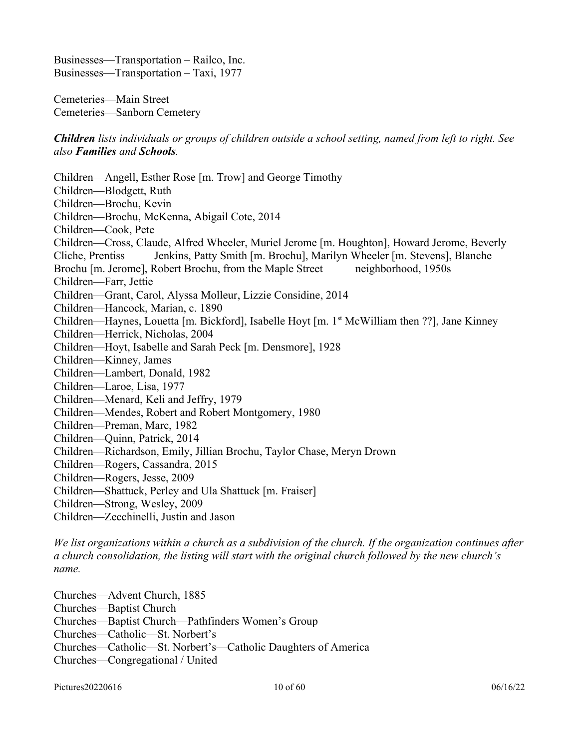Businesses—Transportation – Railco, Inc. Businesses—Transportation – Taxi, 1977

Cemeteries—Main Street Cemeteries—Sanborn Cemetery

*Children lists individuals or groups of children outside a school setting, named from left to right. See also Families and Schools.* 

Children—Angell, Esther Rose [m. Trow] and George Timothy Children—Blodgett, Ruth Children—Brochu, Kevin Children—Brochu, McKenna, Abigail Cote, 2014 Children—Cook, Pete Children—Cross, Claude, Alfred Wheeler, Muriel Jerome [m. Houghton], Howard Jerome, Beverly Cliche, Prentiss Jenkins, Patty Smith [m. Brochu], Marilyn Wheeler [m. Stevens], Blanche Brochu [m. Jerome], Robert Brochu, from the Maple Street neighborhood, 1950s Children—Farr, Jettie Children—Grant, Carol, Alyssa Molleur, Lizzie Considine, 2014 Children—Hancock, Marian, c. 1890 Children—Haynes, Louetta [m. Bickford], Isabelle Hoyt [m. 1<sup>st</sup> McWilliam then ??], Jane Kinney Children—Herrick, Nicholas, 2004 Children—Hoyt, Isabelle and Sarah Peck [m. Densmore], 1928 Children—Kinney, James Children—Lambert, Donald, 1982 Children—Laroe, Lisa, 1977 Children—Menard, Keli and Jeffry, 1979 Children—Mendes, Robert and Robert Montgomery, 1980 Children—Preman, Marc, 1982 Children—Quinn, Patrick, 2014 Children—Richardson, Emily, Jillian Brochu, Taylor Chase, Meryn Drown Children—Rogers, Cassandra, 2015 Children—Rogers, Jesse, 2009 Children—Shattuck, Perley and Ula Shattuck [m. Fraiser] Children—Strong, Wesley, 2009 Children—Zecchinelli, Justin and Jason

*We list organizations within a church as a subdivision of the church. If the organization continues after a church consolidation, the listing will start with the original church followed by the new church's name.* 

Churches—Advent Church, 1885 Churches—Baptist Church Churches—Baptist Church—Pathfinders Women's Group Churches—Catholic—St. Norbert's Churches—Catholic—St. Norbert's—Catholic Daughters of America Churches—Congregational / United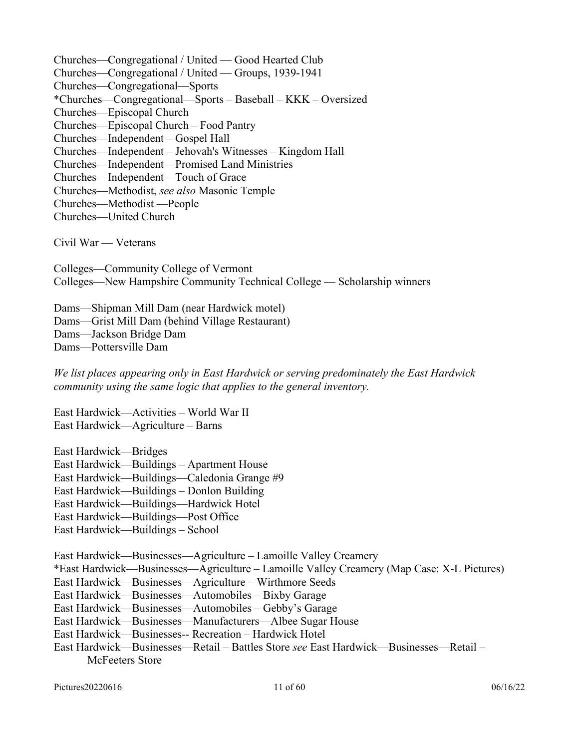Churches—Congregational / United — Good Hearted Club Churches—Congregational / United — Groups, 1939-1941 Churches—Congregational—Sports \*Churches—Congregational—Sports – Baseball – KKK – Oversized Churches—Episcopal Church Churches—Episcopal Church – Food Pantry Churches—Independent – Gospel Hall Churches—Independent – Jehovah's Witnesses – Kingdom Hall Churches—Independent – Promised Land Ministries Churches—Independent – Touch of Grace Churches—Methodist, *see also* Masonic Temple Churches—Methodist —People Churches—United Church

Civil War — Veterans

Colleges—Community College of Vermont Colleges—New Hampshire Community Technical College — Scholarship winners

Dams—Shipman Mill Dam (near Hardwick motel) Dams—Grist Mill Dam (behind Village Restaurant) Dams—Jackson Bridge Dam Dams—Pottersville Dam

*We list places appearing only in East Hardwick or serving predominately the East Hardwick community using the same logic that applies to the general inventory.* 

East Hardwick—Activities – World War II East Hardwick—Agriculture – Barns

East Hardwick—Bridges East Hardwick—Buildings – Apartment House East Hardwick—Buildings—Caledonia Grange #9 East Hardwick—Buildings – Donlon Building East Hardwick—Buildings—Hardwick Hotel

East Hardwick—Buildings—Post Office

East Hardwick—Buildings – School

East Hardwick—Businesses—Agriculture – Lamoille Valley Creamery

\*East Hardwick—Businesses—Agriculture – Lamoille Valley Creamery (Map Case: X-L Pictures)

East Hardwick—Businesses—Agriculture – Wirthmore Seeds

East Hardwick—Businesses—Automobiles – Bixby Garage

East Hardwick—Businesses—Automobiles – Gebby's Garage

East Hardwick—Businesses—Manufacturers—Albee Sugar House

East Hardwick—Businesses-- Recreation – Hardwick Hotel

East Hardwick—Businesses—Retail – Battles Store *see* East Hardwick—Businesses—Retail – McFeeters Store

Pictures20220616 06/16/22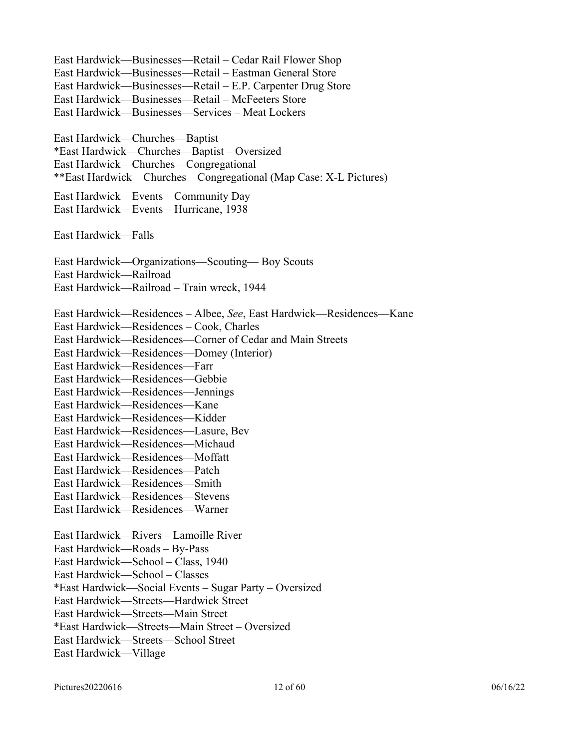East Hardwick—Businesses—Retail – Cedar Rail Flower Shop East Hardwick—Businesses—Retail – Eastman General Store East Hardwick—Businesses—Retail – E.P. Carpenter Drug Store East Hardwick—Businesses—Retail – McFeeters Store East Hardwick—Businesses—Services – Meat Lockers East Hardwick—Churches—Baptist \*East Hardwick—Churches—Baptist – Oversized East Hardwick—Churches—Congregational \*\*East Hardwick—Churches—Congregational (Map Case: X-L Pictures) East Hardwick—Events—Community Day East Hardwick—Events—Hurricane, 1938 East Hardwick—Falls East Hardwick—Organizations—Scouting— Boy Scouts East Hardwick—Railroad East Hardwick—Railroad – Train wreck, 1944 East Hardwick—Residences – Albee, *See*, East Hardwick—Residences—Kane East Hardwick—Residences – Cook, Charles East Hardwick—Residences—Corner of Cedar and Main Streets East Hardwick—Residences—Domey (Interior) East Hardwick—Residences—Farr East Hardwick—Residences—Gebbie East Hardwick—Residences—Jennings East Hardwick—Residences—Kane East Hardwick—Residences—Kidder East Hardwick—Residences—Lasure, Bev East Hardwick—Residences—Michaud East Hardwick—Residences—Moffatt East Hardwick—Residences—Patch East Hardwick—Residences—Smith East Hardwick—Residences—Stevens East Hardwick—Residences—Warner East Hardwick—Rivers – Lamoille River East Hardwick—Roads – By-Pass East Hardwick—School – Class, 1940 East Hardwick—School – Classes \*East Hardwick—Social Events – Sugar Party – Oversized East Hardwick—Streets—Hardwick Street East Hardwick—Streets—Main Street \*East Hardwick—Streets—Main Street – Oversized East Hardwick—Streets—School Street East Hardwick—Village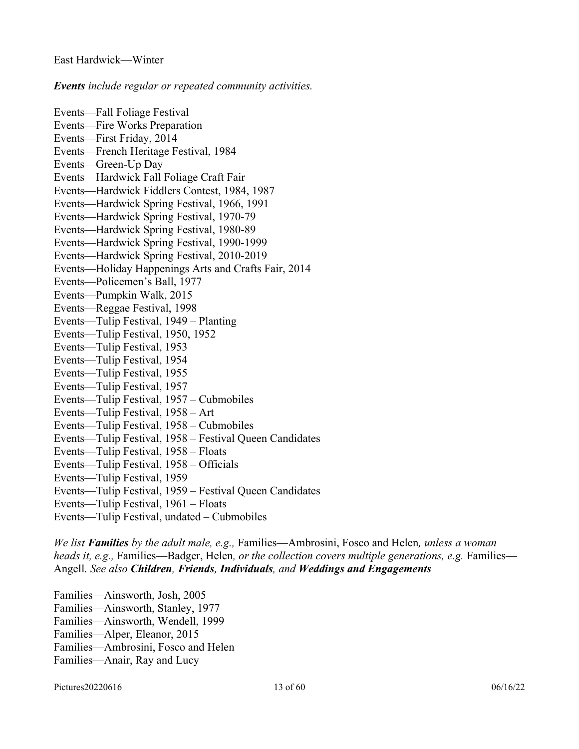#### *Events include regular or repeated community activities.*

Events—Fall Foliage Festival Events—Fire Works Preparation Events—First Friday, 2014 Events—French Heritage Festival, 1984 Events—Green-Up Day Events—Hardwick Fall Foliage Craft Fair Events—Hardwick Fiddlers Contest, 1984, 1987 Events—Hardwick Spring Festival, 1966, 1991 Events—Hardwick Spring Festival, 1970-79 Events—Hardwick Spring Festival, 1980-89 Events—Hardwick Spring Festival, 1990-1999 Events—Hardwick Spring Festival, 2010-2019 Events—Holiday Happenings Arts and Crafts Fair, 2014 Events—Policemen's Ball, 1977 Events—Pumpkin Walk, 2015 Events—Reggae Festival, 1998 Events—Tulip Festival, 1949 – Planting Events—Tulip Festival, 1950, 1952 Events—Tulip Festival, 1953 Events—Tulip Festival, 1954 Events—Tulip Festival, 1955 Events—Tulip Festival, 1957 Events—Tulip Festival, 1957 – Cubmobiles Events—Tulip Festival, 1958 – Art Events—Tulip Festival, 1958 – Cubmobiles Events—Tulip Festival, 1958 – Festival Queen Candidates Events—Tulip Festival, 1958 – Floats Events—Tulip Festival, 1958 – Officials Events—Tulip Festival, 1959 Events—Tulip Festival, 1959 – Festival Queen Candidates Events—Tulip Festival, 1961 – Floats Events—Tulip Festival, undated – Cubmobiles

*We list Families by the adult male, e.g.,* Families—Ambrosini, Fosco and Helen*, unless a woman heads it, e.g.,* Families—Badger, Helen*, or the collection covers multiple generations, e.g.* Families— Angell*. See also Children, Friends, Individuals, and Weddings and Engagements* 

Families—Ainsworth, Josh, 2005 Families—Ainsworth, Stanley, 1977 Families—Ainsworth, Wendell, 1999 Families—Alper, Eleanor, 2015 Families—Ambrosini, Fosco and Helen Families—Anair, Ray and Lucy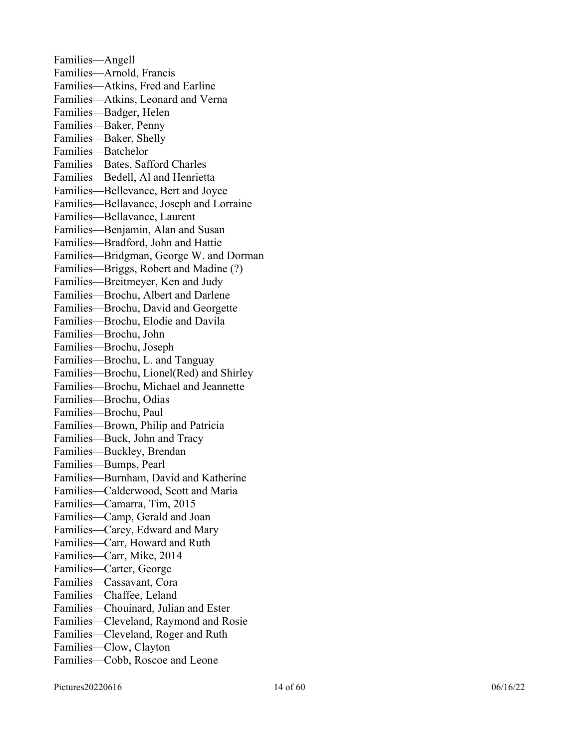Families—Angell Families—Arnold, Francis Families—Atkins, Fred and Earline Families—Atkins, Leonard and Verna Families—Badger, Helen Families—Baker, Penny Families—Baker, Shelly Families—Batchelor Families—Bates, Safford Charles Families—Bedell, Al and Henrietta Families—Bellevance, Bert and Joyce Families—Bellavance, Joseph and Lorraine Families—Bellavance, Laurent Families—Benjamin, Alan and Susan Families—Bradford, John and Hattie Families—Bridgman, George W. and Dorman Families—Briggs, Robert and Madine (?) Families—Breitmeyer, Ken and Judy Families—Brochu, Albert and Darlene Families—Brochu, David and Georgette Families—Brochu, Elodie and Davila Families—Brochu, John Families—Brochu, Joseph Families—Brochu, L. and Tanguay Families—Brochu, Lionel(Red) and Shirley Families—Brochu, Michael and Jeannette Families—Brochu, Odias Families—Brochu, Paul Families—Brown, Philip and Patricia Families—Buck, John and Tracy Families—Buckley, Brendan Families—Bumps, Pearl Families—Burnham, David and Katherine Families—Calderwood, Scott and Maria Families—Camarra, Tim, 2015 Families—Camp, Gerald and Joan Families—Carey, Edward and Mary Families—Carr, Howard and Ruth Families—Carr, Mike, 2014 Families—Carter, George Families—Cassavant, Cora Families—Chaffee, Leland Families—Chouinard, Julian and Ester Families—Cleveland, Raymond and Rosie Families—Cleveland, Roger and Ruth Families—Clow, Clayton Families—Cobb, Roscoe and Leone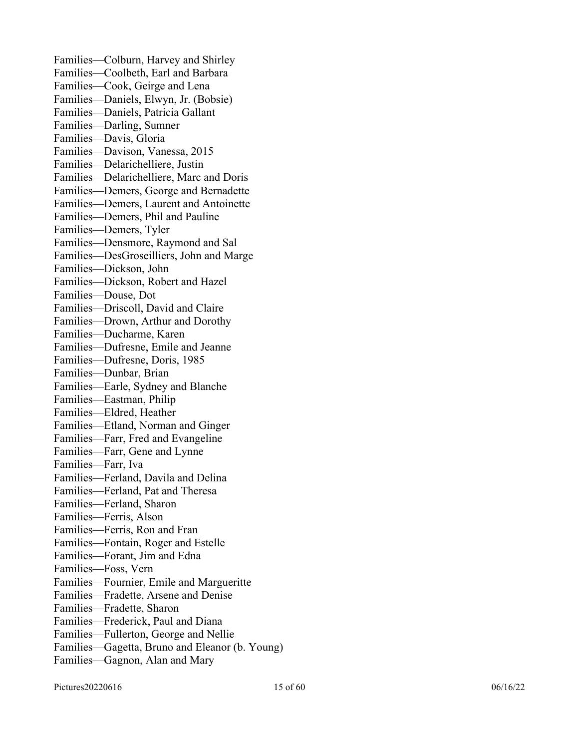Families—Colburn, Harvey and Shirley Families—Coolbeth, Earl and Barbara Families—Cook, Geirge and Lena Families—Daniels, Elwyn, Jr. (Bobsie) Families—Daniels, Patricia Gallant Families—Darling, Sumner Families—Davis, Gloria Families—Davison, Vanessa, 2015 Families—Delarichelliere, Justin Families—Delarichelliere, Marc and Doris Families—Demers, George and Bernadette Families—Demers, Laurent and Antoinette Families—Demers, Phil and Pauline Families—Demers, Tyler Families—Densmore, Raymond and Sal Families—DesGroseilliers, John and Marge Families—Dickson, John Families—Dickson, Robert and Hazel Families—Douse, Dot Families—Driscoll, David and Claire Families—Drown, Arthur and Dorothy Families—Ducharme, Karen Families—Dufresne, Emile and Jeanne Families—Dufresne, Doris, 1985 Families—Dunbar, Brian Families—Earle, Sydney and Blanche Families—Eastman, Philip Families—Eldred, Heather Families—Etland, Norman and Ginger Families—Farr, Fred and Evangeline Families—Farr, Gene and Lynne Families—Farr, Iva Families—Ferland, Davila and Delina Families—Ferland, Pat and Theresa Families—Ferland, Sharon Families—Ferris, Alson Families—Ferris, Ron and Fran Families—Fontain, Roger and Estelle Families—Forant, Jim and Edna Families—Foss, Vern Families—Fournier, Emile and Margueritte Families—Fradette, Arsene and Denise Families—Fradette, Sharon Families—Frederick, Paul and Diana Families—Fullerton, George and Nellie Families—Gagetta, Bruno and Eleanor (b. Young) Families—Gagnon, Alan and Mary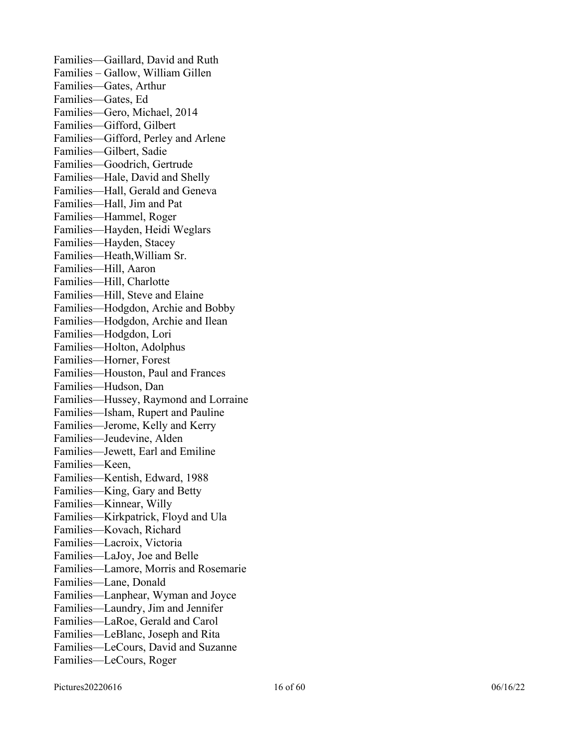Families—Gaillard, David and Ruth Families – Gallow, William Gillen Families—Gates, Arthur Families—Gates, Ed Families—Gero, Michael, 2014 Families—Gifford, Gilbert Families—Gifford, Perley and Arlene Families—Gilbert, Sadie Families—Goodrich, Gertrude Families—Hale, David and Shelly Families—Hall, Gerald and Geneva Families—Hall, Jim and Pat Families—Hammel, Roger Families—Hayden, Heidi Weglars Families—Hayden, Stacey Families—Heath,William Sr. Families—Hill, Aaron Families—Hill, Charlotte Families—Hill, Steve and Elaine Families—Hodgdon, Archie and Bobby Families—Hodgdon, Archie and Ilean Families—Hodgdon, Lori Families—Holton, Adolphus Families—Horner, Forest Families—Houston, Paul and Frances Families—Hudson, Dan Families—Hussey, Raymond and Lorraine Families—Isham, Rupert and Pauline Families—Jerome, Kelly and Kerry Families—Jeudevine, Alden Families—Jewett, Earl and Emiline Families—Keen, Families—Kentish, Edward, 1988 Families—King, Gary and Betty Families—Kinnear, Willy Families—Kirkpatrick, Floyd and Ula Families—Kovach, Richard Families—Lacroix, Victoria Families—LaJoy, Joe and Belle Families—Lamore, Morris and Rosemarie Families—Lane, Donald Families—Lanphear, Wyman and Joyce Families—Laundry, Jim and Jennifer Families—LaRoe, Gerald and Carol Families—LeBlanc, Joseph and Rita Families—LeCours, David and Suzanne Families—LeCours, Roger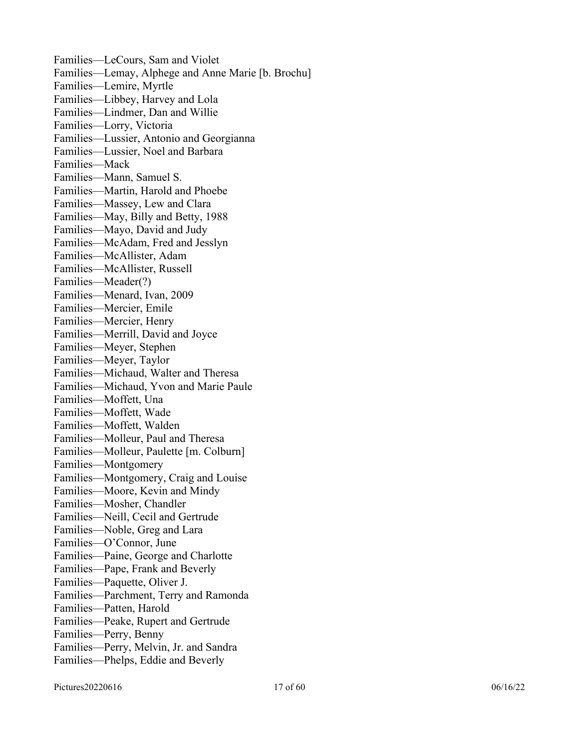Families—LeCours, Sam and Violet Families—Lemay, Alphege and Anne Marie [b. Brochu] Families—Lemire, Myrtle Families—Libbey, Harvey and Lola Families—Lindmer, Dan and Willie Families—Lorry, Victoria Families—Lussier, Antonio and Georgianna Families—Lussier, Noel and Barbara Families—Mack Families—Mann, Samuel S. Families—Martin, Harold and Phoebe Families—Massey, Lew and Clara Families—May, Billy and Betty, 1988 Families—Mayo, David and Judy Families—McAdam, Fred and Jesslyn Families—McAllister, Adam Families—McAllister, Russell Families—Meader(?) Families—Menard, Ivan, 2009 Families—Mercier, Emile Families—Mercier, Henry Families—Merrill, David and Joyce Families—Meyer, Stephen Families—Meyer, Taylor Families—Michaud, Walter and Theresa Families—Michaud, Yvon and Marie Paule Families—Moffett, Una Families—Moffett, Wade Families—Moffett, Walden Families—Molleur, Paul and Theresa Families—Molleur, Paulette [m. Colburn] Families—Montgomery Families—Montgomery, Craig and Louise Families—Moore, Kevin and Mindy Families—Mosher, Chandler Families—Neill, Cecil and Gertrude Families—Noble, Greg and Lara Families—O'Connor, June Families—Paine, George and Charlotte Families—Pape, Frank and Beverly Families—Paquette, Oliver J. Families—Parchment, Terry and Ramonda Families—Patten, Harold Families—Peake, Rupert and Gertrude Families—Perry, Benny Families—Perry, Melvin, Jr. and Sandra Families—Phelps, Eddie and Beverly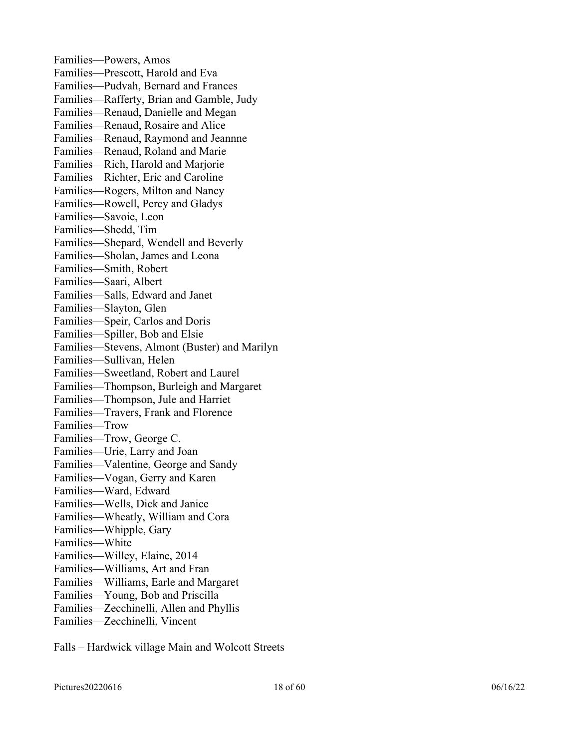Families—Powers, Amos Families—Prescott, Harold and Eva Families—Pudvah, Bernard and Frances Families—Rafferty, Brian and Gamble, Judy Families—Renaud, Danielle and Megan Families—Renaud, Rosaire and Alice Families—Renaud, Raymond and Jeannne Families—Renaud, Roland and Marie Families—Rich, Harold and Marjorie Families—Richter, Eric and Caroline Families—Rogers, Milton and Nancy Families—Rowell, Percy and Gladys Families—Savoie, Leon Families—Shedd, Tim Families—Shepard, Wendell and Beverly Families—Sholan, James and Leona Families—Smith, Robert Families—Saari, Albert Families—Salls, Edward and Janet Families—Slayton, Glen Families—Speir, Carlos and Doris Families—Spiller, Bob and Elsie Families—Stevens, Almont (Buster) and Marilyn Families—Sullivan, Helen Families—Sweetland, Robert and Laurel Families—Thompson, Burleigh and Margaret Families—Thompson, Jule and Harriet Families—Travers, Frank and Florence Families—Trow Families—Trow, George C. Families—Urie, Larry and Joan Families—Valentine, George and Sandy Families—Vogan, Gerry and Karen Families—Ward, Edward Families—Wells, Dick and Janice Families—Wheatly, William and Cora Families—Whipple, Gary Families—White Families—Willey, Elaine, 2014 Families—Williams, Art and Fran Families—Williams, Earle and Margaret Families—Young, Bob and Priscilla Families—Zecchinelli, Allen and Phyllis Families—Zecchinelli, Vincent

Falls – Hardwick village Main and Wolcott Streets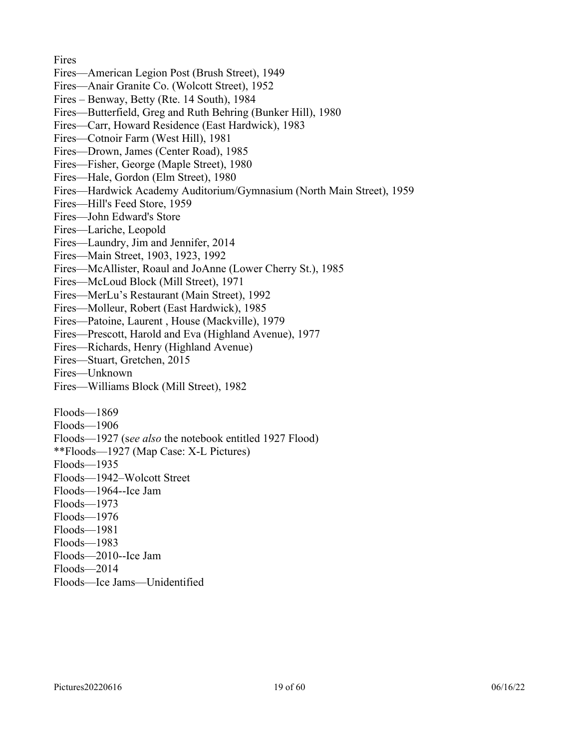**Fires** Fires—American Legion Post (Brush Street), 1949 Fires—Anair Granite Co. (Wolcott Street), 1952 Fires – Benway, Betty (Rte. 14 South), 1984 Fires—Butterfield, Greg and Ruth Behring (Bunker Hill), 1980 Fires—Carr, Howard Residence (East Hardwick), 1983 Fires—Cotnoir Farm (West Hill), 1981 Fires—Drown, James (Center Road), 1985 Fires—Fisher, George (Maple Street), 1980 Fires—Hale, Gordon (Elm Street), 1980 Fires—Hardwick Academy Auditorium/Gymnasium (North Main Street), 1959 Fires—Hill's Feed Store, 1959 Fires—John Edward's Store Fires—Lariche, Leopold Fires—Laundry, Jim and Jennifer, 2014 Fires—Main Street, 1903, 1923, 1992 Fires—McAllister, Roaul and JoAnne (Lower Cherry St.), 1985 Fires—McLoud Block (Mill Street), 1971 Fires—MerLu's Restaurant (Main Street), 1992 Fires—Molleur, Robert (East Hardwick), 1985 Fires—Patoine, Laurent , House (Mackville), 1979 Fires—Prescott, Harold and Eva (Highland Avenue), 1977 Fires—Richards, Henry (Highland Avenue) Fires—Stuart, Gretchen, 2015 Fires—Unknown Fires—Williams Block (Mill Street), 1982 Floods—1869 Floods—1906 Floods—1927 (s*ee also* the notebook entitled 1927 Flood) \*\*Floods—1927 (Map Case: X-L Pictures) Floods—1935 Floods—1942–Wolcott Street Floods—1964--Ice Jam Floods—1973 Floods—1976 Floods—1981 Floods—1983 Floods—2010--Ice Jam Floods—2014 Floods—Ice Jams—Unidentified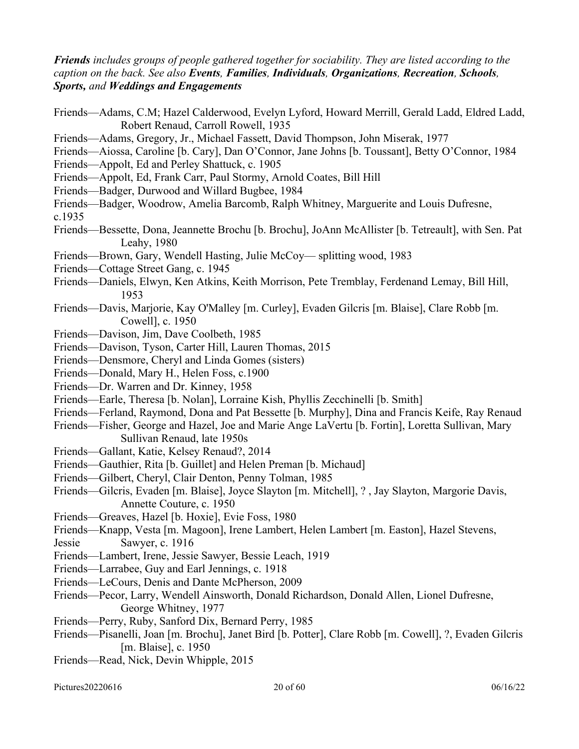*Friends includes groups of people gathered together for sociability. They are listed according to the caption on the back. See also Events, Families, Individuals, Organizations, Recreation, Schools, Sports, and Weddings and Engagements*

| Friends—Adams, C.M; Hazel Calderwood, Evelyn Lyford, Howard Merrill, Gerald Ladd, Eldred Ladd,<br>Robert Renaud, Carroll Rowell, 1935 |
|---------------------------------------------------------------------------------------------------------------------------------------|
| Friends—Adams, Gregory, Jr., Michael Fassett, David Thompson, John Miserak, 1977                                                      |
| Friends—Aiossa, Caroline [b. Cary], Dan O'Connor, Jane Johns [b. Toussant], Betty O'Connor, 1984                                      |
| Friends—Appolt, Ed and Perley Shattuck, c. 1905                                                                                       |
| Friends—Appolt, Ed, Frank Carr, Paul Stormy, Arnold Coates, Bill Hill                                                                 |
| Friends—Badger, Durwood and Willard Bugbee, 1984                                                                                      |
| Friends-Badger, Woodrow, Amelia Barcomb, Ralph Whitney, Marguerite and Louis Dufresne,<br>c.1935                                      |
| Friends—Bessette, Dona, Jeannette Brochu [b. Brochu], JoAnn McAllister [b. Tetreault], with Sen. Pat<br>Leahy, 1980                   |
| Friends—Brown, Gary, Wendell Hasting, Julie McCoy— splitting wood, 1983                                                               |
| Friends—Cottage Street Gang, c. 1945                                                                                                  |
| Friends—Daniels, Elwyn, Ken Atkins, Keith Morrison, Pete Tremblay, Ferdenand Lemay, Bill Hill,<br>1953                                |
| Friends—Davis, Marjorie, Kay O'Malley [m. Curley], Evaden Gilcris [m. Blaise], Clare Robb [m.<br>Cowell], c. 1950                     |
| Friends-Davison, Jim, Dave Coolbeth, 1985                                                                                             |
| Friends-Davison, Tyson, Carter Hill, Lauren Thomas, 2015                                                                              |
| Friends—Densmore, Cheryl and Linda Gomes (sisters)                                                                                    |
| Friends-Donald, Mary H., Helen Foss, c.1900                                                                                           |
| Friends-Dr. Warren and Dr. Kinney, 1958                                                                                               |
| Friends—Earle, Theresa [b. Nolan], Lorraine Kish, Phyllis Zecchinelli [b. Smith]                                                      |
| Friends-Ferland, Raymond, Dona and Pat Bessette [b. Murphy], Dina and Francis Keife, Ray Renaud                                       |
| Friends—Fisher, George and Hazel, Joe and Marie Ange LaVertu [b. Fortin], Loretta Sullivan, Mary                                      |
| Sullivan Renaud, late 1950s                                                                                                           |
| Friends—Gallant, Katie, Kelsey Renaud?, 2014                                                                                          |
| Friends—Gauthier, Rita [b. Guillet] and Helen Preman [b. Michaud]                                                                     |
| Friends-Gilbert, Cheryl, Clair Denton, Penny Tolman, 1985                                                                             |
| Friends—Gilcris, Evaden [m. Blaise], Joyce Slayton [m. Mitchell], ?, Jay Slayton, Margorie Davis,                                     |
| Annette Couture, c. 1950                                                                                                              |
| Friends—Greaves, Hazel [b. Hoxie], Evie Foss, 1980                                                                                    |
| Friends-Knapp, Vesta [m. Magoon], Irene Lambert, Helen Lambert [m. Easton], Hazel Stevens,                                            |
| Sawyer, c. 1916<br>Jessie                                                                                                             |
| Friends—Lambert, Irene, Jessie Sawyer, Bessie Leach, 1919                                                                             |
| Friends—Larrabee, Guy and Earl Jennings, c. 1918                                                                                      |
| Friends—LeCours, Denis and Dante McPherson, 2009                                                                                      |
| Friends—Pecor, Larry, Wendell Ainsworth, Donald Richardson, Donald Allen, Lionel Dufresne,                                            |
| George Whitney, 1977                                                                                                                  |
| Friends—Perry, Ruby, Sanford Dix, Bernard Perry, 1985                                                                                 |
| Friends—Pisanelli, Joan [m. Brochu], Janet Bird [b. Potter], Clare Robb [m. Cowell], ?, Evaden Gilcris                                |
| [m. Blaise], c. 1950                                                                                                                  |

Friends—Read, Nick, Devin Whipple, 2015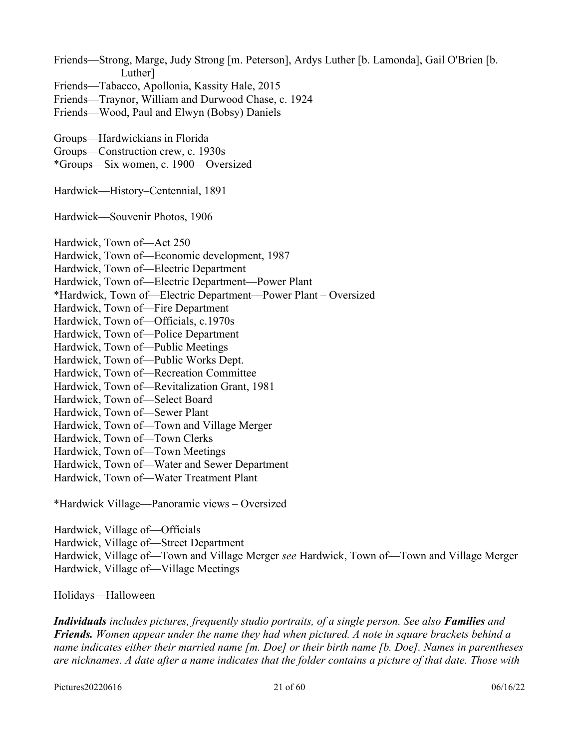Friends—Strong, Marge, Judy Strong [m. Peterson], Ardys Luther [b. Lamonda], Gail O'Brien [b. Luther] Friends—Tabacco, Apollonia, Kassity Hale, 2015 Friends—Traynor, William and Durwood Chase, c. 1924 Friends—Wood, Paul and Elwyn (Bobsy) Daniels Groups—Hardwickians in Florida Groups—Construction crew, c. 1930s \*Groups—Six women, c. 1900 – Oversized Hardwick—History–Centennial, 1891 Hardwick—Souvenir Photos, 1906 Hardwick, Town of—Act 250 Hardwick, Town of—Economic development, 1987 Hardwick, Town of—Electric Department Hardwick, Town of—Electric Department—Power Plant \*Hardwick, Town of—Electric Department—Power Plant – Oversized Hardwick, Town of—Fire Department Hardwick, Town of—Officials, c.1970s Hardwick, Town of—Police Department Hardwick, Town of—Public Meetings Hardwick, Town of—Public Works Dept. Hardwick, Town of—Recreation Committee Hardwick, Town of—Revitalization Grant, 1981 Hardwick, Town of—Select Board Hardwick, Town of—Sewer Plant Hardwick, Town of—Town and Village Merger Hardwick, Town of—Town Clerks Hardwick, Town of—Town Meetings Hardwick, Town of—Water and Sewer Department Hardwick, Town of—Water Treatment Plant \*Hardwick Village—Panoramic views – Oversized

Hardwick, Village of—Officials Hardwick, Village of—Street Department Hardwick, Village of—Town and Village Merger *see* Hardwick, Town of—Town and Village Merger Hardwick, Village of—Village Meetings

Holidays—Halloween

*Individuals* includes pictures, frequently studio portraits, of a single person. See also **Families** and *Friends. Women appear under the name they had when pictured. A note in square brackets behind a name indicates either their married name [m. Doe] or their birth name [b. Doe]. Names in parentheses are nicknames. A date after a name indicates that the folder contains a picture of that date. Those with* 

Pictures20220616 06/16/22 06:00 06/16/22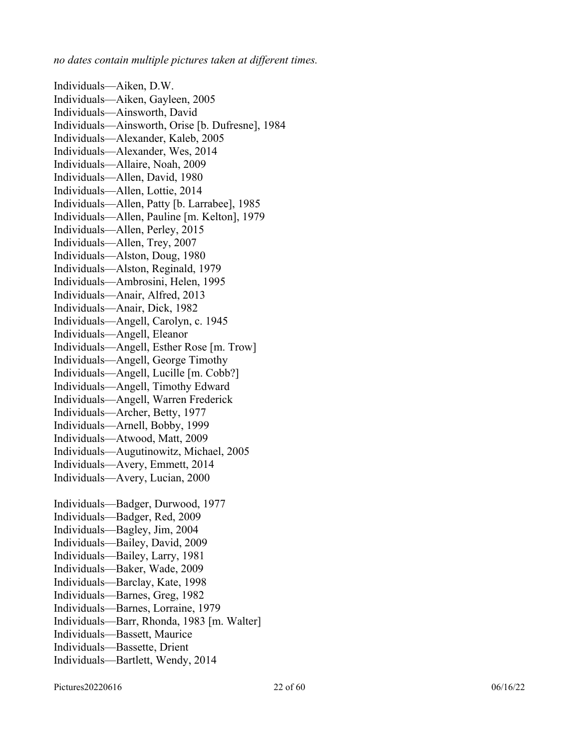*no dates contain multiple pictures taken at different times.* 

Individuals—Aiken, D.W. Individuals—Aiken, Gayleen, 2005 Individuals—Ainsworth, David Individuals—Ainsworth, Orise [b. Dufresne], 1984 Individuals—Alexander, Kaleb, 2005 Individuals—Alexander, Wes, 2014 Individuals—Allaire, Noah, 2009 Individuals—Allen, David, 1980 Individuals—Allen, Lottie, 2014 Individuals—Allen, Patty [b. Larrabee], 1985 Individuals—Allen, Pauline [m. Kelton], 1979 Individuals—Allen, Perley, 2015 Individuals—Allen, Trey, 2007 Individuals—Alston, Doug, 1980 Individuals—Alston, Reginald, 1979 Individuals—Ambrosini, Helen, 1995 Individuals—Anair, Alfred, 2013 Individuals—Anair, Dick, 1982 Individuals—Angell, Carolyn, c. 1945 Individuals—Angell, Eleanor Individuals—Angell, Esther Rose [m. Trow] Individuals—Angell, George Timothy Individuals—Angell, Lucille [m. Cobb?] Individuals—Angell, Timothy Edward Individuals—Angell, Warren Frederick Individuals—Archer, Betty, 1977 Individuals—Arnell, Bobby, 1999 Individuals—Atwood, Matt, 2009 Individuals—Augutinowitz, Michael, 2005 Individuals—Avery, Emmett, 2014 Individuals—Avery, Lucian, 2000 Individuals—Badger, Durwood, 1977 Individuals—Badger, Red, 2009 Individuals—Bagley, Jim, 2004 Individuals—Bailey, David, 2009 Individuals—Bailey, Larry, 1981 Individuals—Baker, Wade, 2009 Individuals—Barclay, Kate, 1998 Individuals—Barnes, Greg, 1982 Individuals—Barnes, Lorraine, 1979 Individuals—Barr, Rhonda, 1983 [m. Walter] Individuals—Bassett, Maurice Individuals—Bassette, Drient Individuals—Bartlett, Wendy, 2014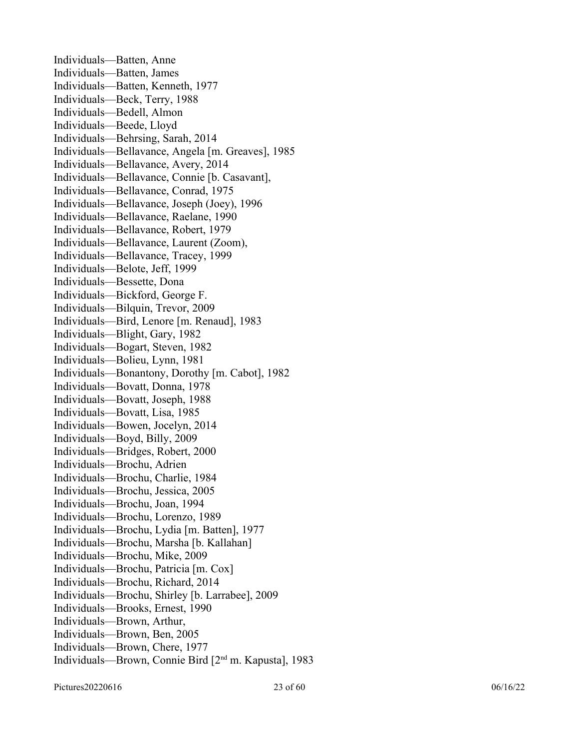Individuals—Batten, Anne Individuals—Batten, James Individuals—Batten, Kenneth, 1977 Individuals—Beck, Terry, 1988 Individuals—Bedell, Almon Individuals—Beede, Lloyd Individuals—Behrsing, Sarah, 2014 Individuals—Bellavance, Angela [m. Greaves], 1985 Individuals—Bellavance, Avery, 2014 Individuals—Bellavance, Connie [b. Casavant], Individuals—Bellavance, Conrad, 1975 Individuals—Bellavance, Joseph (Joey), 1996 Individuals—Bellavance, Raelane, 1990 Individuals—Bellavance, Robert, 1979 Individuals—Bellavance, Laurent (Zoom), Individuals—Bellavance, Tracey, 1999 Individuals—Belote, Jeff, 1999 Individuals—Bessette, Dona Individuals—Bickford, George F. Individuals—Bilquin, Trevor, 2009 Individuals—Bird, Lenore [m. Renaud], 1983 Individuals—Blight, Gary, 1982 Individuals—Bogart, Steven, 1982 Individuals—Bolieu, Lynn, 1981 Individuals—Bonantony, Dorothy [m. Cabot], 1982 Individuals—Bovatt, Donna, 1978 Individuals—Bovatt, Joseph, 1988 Individuals—Bovatt, Lisa, 1985 Individuals—Bowen, Jocelyn, 2014 Individuals—Boyd, Billy, 2009 Individuals—Bridges, Robert, 2000 Individuals—Brochu, Adrien Individuals—Brochu, Charlie, 1984 Individuals—Brochu, Jessica, 2005 Individuals—Brochu, Joan, 1994 Individuals—Brochu, Lorenzo, 1989 Individuals—Brochu, Lydia [m. Batten], 1977 Individuals—Brochu, Marsha [b. Kallahan] Individuals—Brochu, Mike, 2009 Individuals—Brochu, Patricia [m. Cox] Individuals—Brochu, Richard, 2014 Individuals—Brochu, Shirley [b. Larrabee], 2009 Individuals—Brooks, Ernest, 1990 Individuals—Brown, Arthur, Individuals—Brown, Ben, 2005 Individuals—Brown, Chere, 1977 Individuals—Brown, Connie Bird [2nd m. Kapusta], 1983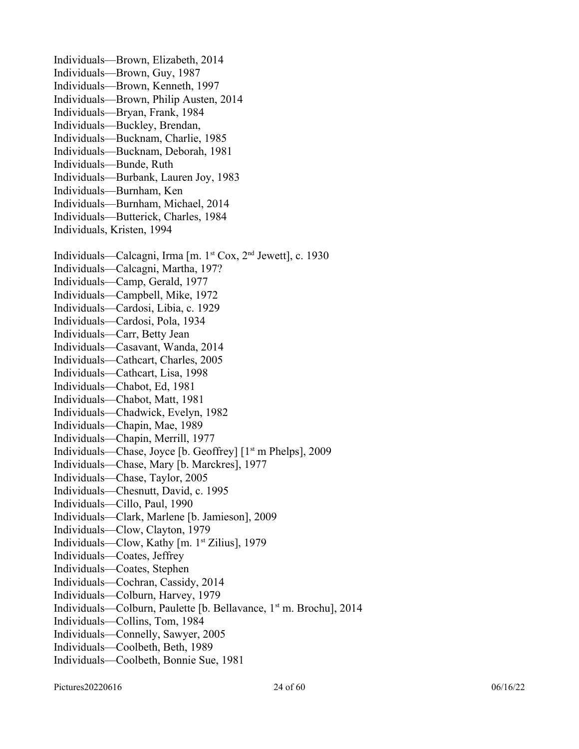Individuals—Brown, Elizabeth, 2014 Individuals—Brown, Guy, 1987 Individuals—Brown, Kenneth, 1997 Individuals—Brown, Philip Austen, 2014 Individuals—Bryan, Frank, 1984 Individuals—Buckley, Brendan, Individuals—Bucknam, Charlie, 1985 Individuals—Bucknam, Deborah, 1981 Individuals—Bunde, Ruth Individuals—Burbank, Lauren Joy, 1983 Individuals—Burnham, Ken Individuals—Burnham, Michael, 2014 Individuals—Butterick, Charles, 1984 Individuals, Kristen, 1994 Individuals—Calcagni, Irma [m. 1<sup>st</sup> Cox, 2<sup>nd</sup> Jewett], c. 1930 Individuals—Calcagni, Martha, 197? Individuals—Camp, Gerald, 1977 Individuals—Campbell, Mike, 1972 Individuals—Cardosi, Libia, c. 1929 Individuals—Cardosi, Pola, 1934 Individuals—Carr, Betty Jean Individuals—Casavant, Wanda, 2014 Individuals—Cathcart, Charles, 2005 Individuals—Cathcart, Lisa, 1998 Individuals—Chabot, Ed, 1981 Individuals—Chabot, Matt, 1981 Individuals—Chadwick, Evelyn, 1982 Individuals—Chapin, Mae, 1989 Individuals—Chapin, Merrill, 1977 Individuals—Chase, Joyce [b. Geoffrey] [1st m Phelps], 2009 Individuals—Chase, Mary [b. Marckres], 1977 Individuals—Chase, Taylor, 2005 Individuals—Chesnutt, David, c. 1995 Individuals—Cillo, Paul, 1990 Individuals—Clark, Marlene [b. Jamieson], 2009 Individuals—Clow, Clayton, 1979 Individuals—Clow, Kathy [m. 1<sup>st</sup> Zilius], 1979 Individuals—Coates, Jeffrey Individuals—Coates, Stephen Individuals—Cochran, Cassidy, 2014 Individuals—Colburn, Harvey, 1979 Individuals—Colburn, Paulette [b. Bellavance, 1st m. Brochu], 2014 Individuals—Collins, Tom, 1984 Individuals—Connelly, Sawyer, 2005 Individuals—Coolbeth, Beth, 1989 Individuals—Coolbeth, Bonnie Sue, 1981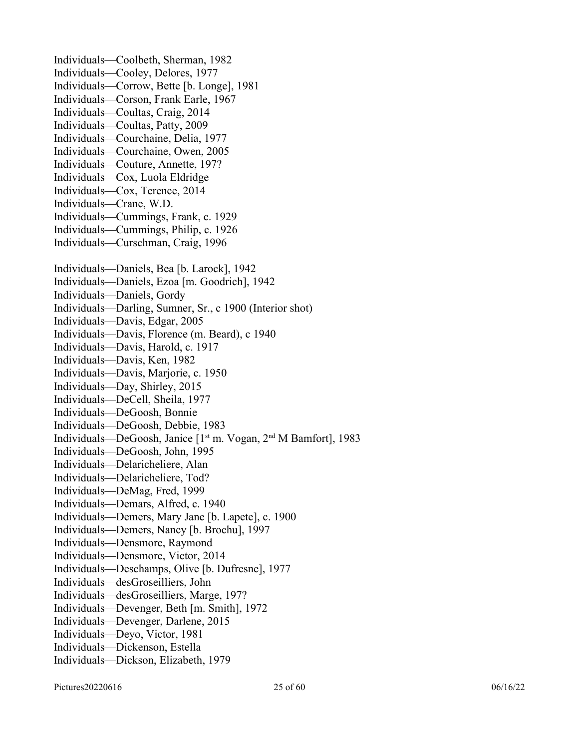Individuals—Coolbeth, Sherman, 1982 Individuals—Cooley, Delores, 1977 Individuals—Corrow, Bette [b. Longe], 1981 Individuals—Corson, Frank Earle, 1967 Individuals—Coultas, Craig, 2014 Individuals—Coultas, Patty, 2009 Individuals—Courchaine, Delia, 1977 Individuals—Courchaine, Owen, 2005 Individuals—Couture, Annette, 197? Individuals—Cox, Luola Eldridge Individuals—Cox, Terence, 2014 Individuals—Crane, W.D. Individuals—Cummings, Frank, c. 1929 Individuals—Cummings, Philip, c. 1926 Individuals—Curschman, Craig, 1996 Individuals—Daniels, Bea [b. Larock], 1942 Individuals—Daniels, Ezoa [m. Goodrich], 1942 Individuals—Daniels, Gordy Individuals—Darling, Sumner, Sr., c 1900 (Interior shot) Individuals—Davis, Edgar, 2005 Individuals—Davis, Florence (m. Beard), c 1940 Individuals—Davis, Harold, c. 1917 Individuals—Davis, Ken, 1982 Individuals—Davis, Marjorie, c. 1950 Individuals—Day, Shirley, 2015 Individuals—DeCell, Sheila, 1977 Individuals—DeGoosh, Bonnie Individuals—DeGoosh, Debbie, 1983 Individuals—DeGoosh, Janice [1st m. Vogan, 2nd M Bamfort], 1983 Individuals—DeGoosh, John, 1995 Individuals—Delaricheliere, Alan Individuals—Delaricheliere, Tod? Individuals—DeMag, Fred, 1999 Individuals—Demars, Alfred, c. 1940 Individuals—Demers, Mary Jane [b. Lapete], c. 1900 Individuals—Demers, Nancy [b. Brochu], 1997 Individuals—Densmore, Raymond Individuals—Densmore, Victor, 2014 Individuals—Deschamps, Olive [b. Dufresne], 1977 Individuals—desGroseilliers, John Individuals—desGroseilliers, Marge, 197? Individuals—Devenger, Beth [m. Smith], 1972 Individuals—Devenger, Darlene, 2015 Individuals—Deyo, Victor, 1981 Individuals—Dickenson, Estella Individuals—Dickson, Elizabeth, 1979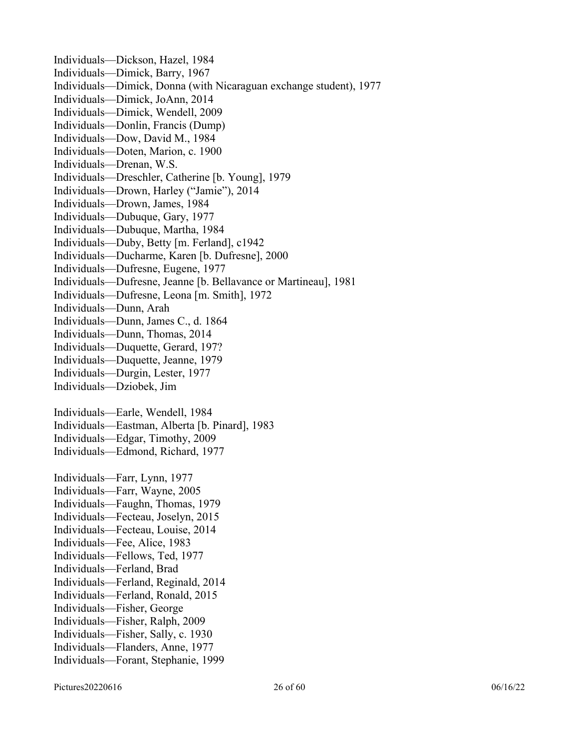Individuals—Dickson, Hazel, 1984 Individuals—Dimick, Barry, 1967 Individuals—Dimick, Donna (with Nicaraguan exchange student), 1977 Individuals—Dimick, JoAnn, 2014 Individuals—Dimick, Wendell, 2009 Individuals—Donlin, Francis (Dump) Individuals—Dow, David M., 1984 Individuals—Doten, Marion, c. 1900 Individuals—Drenan, W.S. Individuals—Dreschler, Catherine [b. Young], 1979 Individuals—Drown, Harley ("Jamie"), 2014 Individuals—Drown, James, 1984 Individuals—Dubuque, Gary, 1977 Individuals—Dubuque, Martha, 1984 Individuals—Duby, Betty [m. Ferland], c1942 Individuals—Ducharme, Karen [b. Dufresne], 2000 Individuals—Dufresne, Eugene, 1977 Individuals—Dufresne, Jeanne [b. Bellavance or Martineau], 1981 Individuals—Dufresne, Leona [m. Smith], 1972 Individuals—Dunn, Arah Individuals—Dunn, James C., d. 1864 Individuals—Dunn, Thomas, 2014 Individuals—Duquette, Gerard, 197? Individuals—Duquette, Jeanne, 1979 Individuals—Durgin, Lester, 1977 Individuals—Dziobek, Jim Individuals—Earle, Wendell, 1984 Individuals—Eastman, Alberta [b. Pinard], 1983 Individuals—Edgar, Timothy, 2009 Individuals—Edmond, Richard, 1977 Individuals—Farr, Lynn, 1977 Individuals—Farr, Wayne, 2005 Individuals—Faughn, Thomas, 1979 Individuals—Fecteau, Joselyn, 2015 Individuals—Fecteau, Louise, 2014 Individuals—Fee, Alice, 1983 Individuals—Fellows, Ted, 1977 Individuals—Ferland, Brad Individuals—Ferland, Reginald, 2014 Individuals—Ferland, Ronald, 2015 Individuals—Fisher, George Individuals—Fisher, Ralph, 2009 Individuals—Fisher, Sally, c. 1930 Individuals—Flanders, Anne, 1977 Individuals—Forant, Stephanie, 1999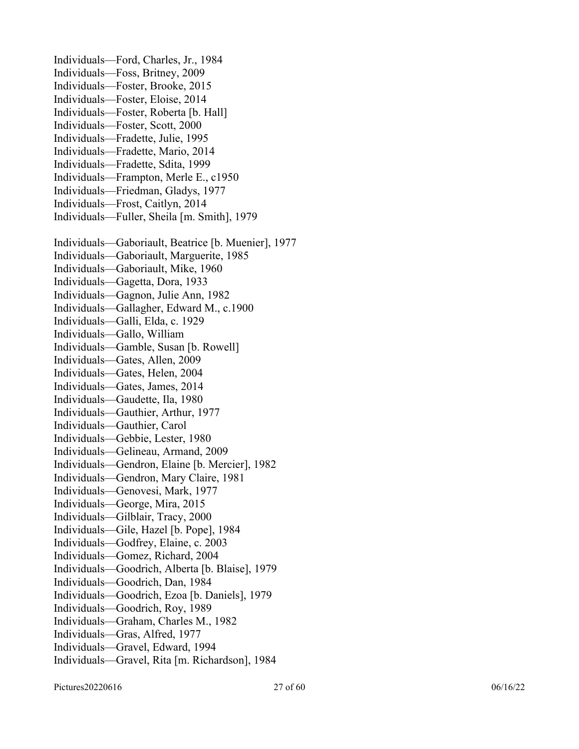Individuals—Ford, Charles, Jr., 1984 Individuals—Foss, Britney, 2009 Individuals—Foster, Brooke, 2015 Individuals—Foster, Eloise, 2014 Individuals—Foster, Roberta [b. Hall] Individuals—Foster, Scott, 2000 Individuals—Fradette, Julie, 1995 Individuals—Fradette, Mario, 2014 Individuals—Fradette, Sdita, 1999 Individuals—Frampton, Merle E., c1950 Individuals—Friedman, Gladys, 1977 Individuals—Frost, Caitlyn, 2014 Individuals—Fuller, Sheila [m. Smith], 1979 Individuals—Gaboriault, Beatrice [b. Muenier], 1977 Individuals—Gaboriault, Marguerite, 1985 Individuals—Gaboriault, Mike, 1960 Individuals—Gagetta, Dora, 1933 Individuals—Gagnon, Julie Ann, 1982 Individuals—Gallagher, Edward M., c.1900 Individuals—Galli, Elda, c. 1929 Individuals—Gallo, William Individuals—Gamble, Susan [b. Rowell] Individuals—Gates, Allen, 2009 Individuals—Gates, Helen, 2004 Individuals—Gates, James, 2014 Individuals—Gaudette, Ila, 1980 Individuals—Gauthier, Arthur, 1977 Individuals—Gauthier, Carol Individuals—Gebbie, Lester, 1980 Individuals—Gelineau, Armand, 2009 Individuals—Gendron, Elaine [b. Mercier], 1982 Individuals—Gendron, Mary Claire, 1981 Individuals—Genovesi, Mark, 1977 Individuals—George, Mira, 2015 Individuals—Gilblair, Tracy, 2000 Individuals—Gile, Hazel [b. Pope], 1984 Individuals—Godfrey, Elaine, c. 2003 Individuals—Gomez, Richard, 2004 Individuals—Goodrich, Alberta [b. Blaise], 1979 Individuals—Goodrich, Dan, 1984 Individuals—Goodrich, Ezoa [b. Daniels], 1979 Individuals—Goodrich, Roy, 1989 Individuals—Graham, Charles M., 1982 Individuals—Gras, Alfred, 1977 Individuals—Gravel, Edward, 1994 Individuals—Gravel, Rita [m. Richardson], 1984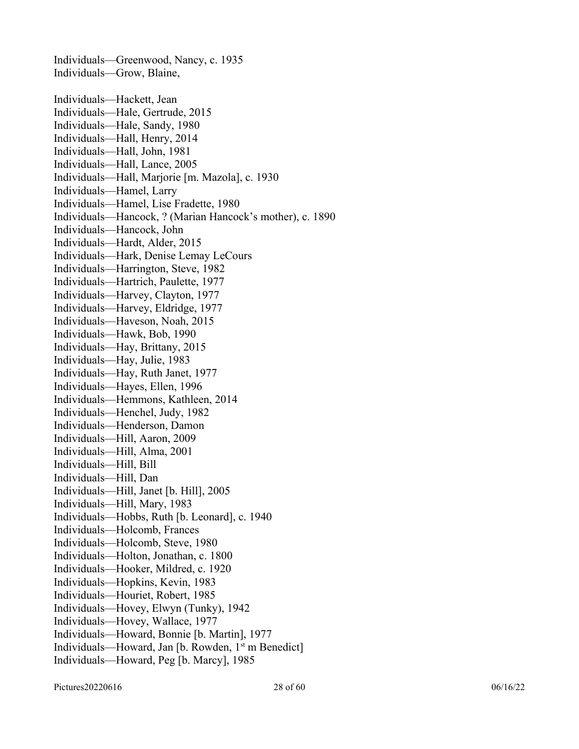Individuals—Greenwood, Nancy, c. 1935 Individuals—Grow, Blaine, Individuals—Hackett, Jean Individuals—Hale, Gertrude, 2015 Individuals—Hale, Sandy, 1980 Individuals—Hall, Henry, 2014 Individuals—Hall, John, 1981 Individuals—Hall, Lance, 2005 Individuals—Hall, Marjorie [m. Mazola], c. 1930 Individuals—Hamel, Larry Individuals—Hamel, Lise Fradette, 1980 Individuals—Hancock, ? (Marian Hancock's mother), c. 1890 Individuals—Hancock, John Individuals—Hardt, Alder, 2015 Individuals—Hark, Denise Lemay LeCours Individuals—Harrington, Steve, 1982 Individuals—Hartrich, Paulette, 1977 Individuals—Harvey, Clayton, 1977 Individuals—Harvey, Eldridge, 1977 Individuals—Haveson, Noah, 2015 Individuals—Hawk, Bob, 1990 Individuals—Hay, Brittany, 2015 Individuals—Hay, Julie, 1983 Individuals—Hay, Ruth Janet, 1977 Individuals—Hayes, Ellen, 1996 Individuals—Hemmons, Kathleen, 2014 Individuals—Henchel, Judy, 1982 Individuals—Henderson, Damon Individuals—Hill, Aaron, 2009 Individuals—Hill, Alma, 2001 Individuals—Hill, Bill Individuals—Hill, Dan Individuals—Hill, Janet [b. Hill], 2005 Individuals—Hill, Mary, 1983 Individuals—Hobbs, Ruth [b. Leonard], c. 1940 Individuals—Holcomb, Frances Individuals—Holcomb, Steve, 1980 Individuals—Holton, Jonathan, c. 1800 Individuals—Hooker, Mildred, c. 1920 Individuals—Hopkins, Kevin, 1983 Individuals—Houriet, Robert, 1985 Individuals—Hovey, Elwyn (Tunky), 1942 Individuals—Hovey, Wallace, 1977 Individuals—Howard, Bonnie [b. Martin], 1977 Individuals—Howard, Jan [b. Rowden,  $1<sup>st</sup>$  m Benedict] Individuals—Howard, Peg [b. Marcy], 1985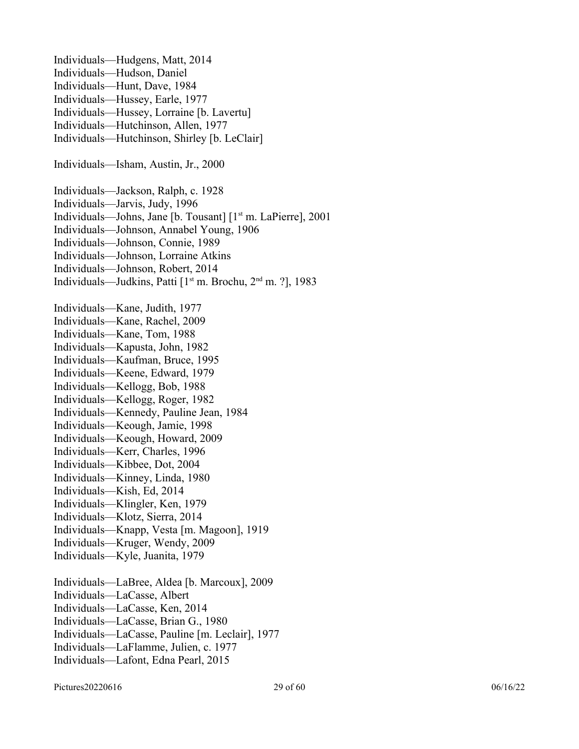Individuals—Hudgens, Matt, 2014 Individuals—Hudson, Daniel Individuals—Hunt, Dave, 1984 Individuals—Hussey, Earle, 1977 Individuals—Hussey, Lorraine [b. Lavertu] Individuals—Hutchinson, Allen, 1977 Individuals—Hutchinson, Shirley [b. LeClair] Individuals—Isham, Austin, Jr., 2000 Individuals—Jackson, Ralph, c. 1928 Individuals—Jarvis, Judy, 1996 Individuals—Johns, Jane [b. Tousant] [1<sup>st</sup> m. LaPierre], 2001 Individuals—Johnson, Annabel Young, 1906 Individuals—Johnson, Connie, 1989 Individuals—Johnson, Lorraine Atkins Individuals—Johnson, Robert, 2014 Individuals—Judkins, Patti [1<sup>st</sup> m. Brochu, 2<sup>nd</sup> m. ?], 1983 Individuals—Kane, Judith, 1977 Individuals—Kane, Rachel, 2009 Individuals—Kane, Tom, 1988 Individuals—Kapusta, John, 1982 Individuals—Kaufman, Bruce, 1995 Individuals—Keene, Edward, 1979 Individuals—Kellogg, Bob, 1988 Individuals—Kellogg, Roger, 1982 Individuals—Kennedy, Pauline Jean, 1984 Individuals—Keough, Jamie, 1998 Individuals—Keough, Howard, 2009 Individuals—Kerr, Charles, 1996 Individuals—Kibbee, Dot, 2004 Individuals—Kinney, Linda, 1980 Individuals—Kish, Ed, 2014 Individuals—Klingler, Ken, 1979 Individuals—Klotz, Sierra, 2014 Individuals—Knapp, Vesta [m. Magoon], 1919 Individuals—Kruger, Wendy, 2009 Individuals—Kyle, Juanita, 1979 Individuals—LaBree, Aldea [b. Marcoux], 2009 Individuals—LaCasse, Albert Individuals—LaCasse, Ken, 2014 Individuals—LaCasse, Brian G., 1980 Individuals—LaCasse, Pauline [m. Leclair], 1977 Individuals—LaFlamme, Julien, c. 1977 Individuals—Lafont, Edna Pearl, 2015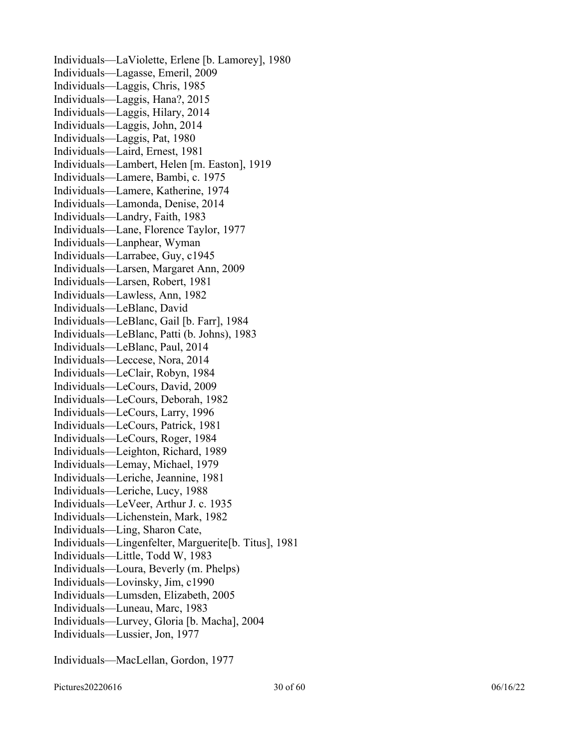Individuals—LaViolette, Erlene [b. Lamorey], 1980 Individuals—Lagasse, Emeril, 2009 Individuals—Laggis, Chris, 1985 Individuals—Laggis, Hana?, 2015 Individuals—Laggis, Hilary, 2014 Individuals—Laggis, John, 2014 Individuals—Laggis, Pat, 1980 Individuals—Laird, Ernest, 1981 Individuals—Lambert, Helen [m. Easton], 1919 Individuals—Lamere, Bambi, c. 1975 Individuals—Lamere, Katherine, 1974 Individuals—Lamonda, Denise, 2014 Individuals—Landry, Faith, 1983 Individuals—Lane, Florence Taylor, 1977 Individuals—Lanphear, Wyman Individuals—Larrabee, Guy, c1945 Individuals—Larsen, Margaret Ann, 2009 Individuals—Larsen, Robert, 1981 Individuals—Lawless, Ann, 1982 Individuals—LeBlanc, David Individuals—LeBlanc, Gail [b. Farr], 1984 Individuals—LeBlanc, Patti (b. Johns), 1983 Individuals—LeBlanc, Paul, 2014 Individuals—Leccese, Nora, 2014 Individuals—LeClair, Robyn, 1984 Individuals—LeCours, David, 2009 Individuals—LeCours, Deborah, 1982 Individuals—LeCours, Larry, 1996 Individuals—LeCours, Patrick, 1981 Individuals—LeCours, Roger, 1984 Individuals—Leighton, Richard, 1989 Individuals—Lemay, Michael, 1979 Individuals—Leriche, Jeannine, 1981 Individuals—Leriche, Lucy, 1988 Individuals—LeVeer, Arthur J. c. 1935 Individuals—Lichenstein, Mark, 1982 Individuals—Ling, Sharon Cate, Individuals—Lingenfelter, Marguerite[b. Titus], 1981 Individuals—Little, Todd W, 1983 Individuals—Loura, Beverly (m. Phelps) Individuals—Lovinsky, Jim, c1990 Individuals—Lumsden, Elizabeth, 2005 Individuals—Luneau, Marc, 1983 Individuals—Lurvey, Gloria [b. Macha], 2004 Individuals—Lussier, Jon, 1977

Individuals—MacLellan, Gordon, 1977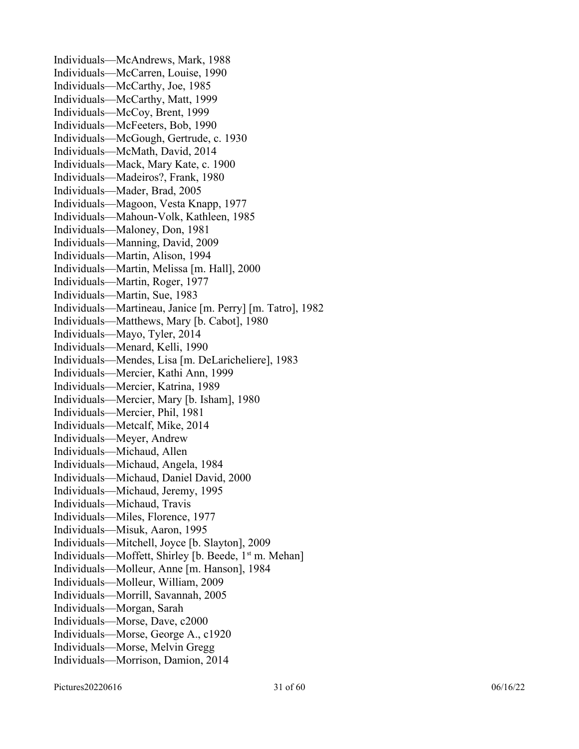Individuals—McAndrews, Mark, 1988 Individuals—McCarren, Louise, 1990 Individuals—McCarthy, Joe, 1985 Individuals—McCarthy, Matt, 1999 Individuals—McCoy, Brent, 1999 Individuals—McFeeters, Bob, 1990 Individuals—McGough, Gertrude, c. 1930 Individuals—McMath, David, 2014 Individuals—Mack, Mary Kate, c. 1900 Individuals—Madeiros?, Frank, 1980 Individuals—Mader, Brad, 2005 Individuals—Magoon, Vesta Knapp, 1977 Individuals—Mahoun-Volk, Kathleen, 1985 Individuals—Maloney, Don, 1981 Individuals—Manning, David, 2009 Individuals—Martin, Alison, 1994 Individuals—Martin, Melissa [m. Hall], 2000 Individuals—Martin, Roger, 1977 Individuals—Martin, Sue, 1983 Individuals—Martineau, Janice [m. Perry] [m. Tatro], 1982 Individuals—Matthews, Mary [b. Cabot], 1980 Individuals—Mayo, Tyler, 2014 Individuals—Menard, Kelli, 1990 Individuals—Mendes, Lisa [m. DeLaricheliere], 1983 Individuals—Mercier, Kathi Ann, 1999 Individuals—Mercier, Katrina, 1989 Individuals—Mercier, Mary [b. Isham], 1980 Individuals—Mercier, Phil, 1981 Individuals—Metcalf, Mike, 2014 Individuals—Meyer, Andrew Individuals—Michaud, Allen Individuals—Michaud, Angela, 1984 Individuals—Michaud, Daniel David, 2000 Individuals—Michaud, Jeremy, 1995 Individuals—Michaud, Travis Individuals—Miles, Florence, 1977 Individuals—Misuk, Aaron, 1995 Individuals—Mitchell, Joyce [b. Slayton], 2009 Individuals—Moffett, Shirley [b. Beede,  $1<sup>st</sup>$  m. Mehan] Individuals—Molleur, Anne [m. Hanson], 1984 Individuals—Molleur, William, 2009 Individuals—Morrill, Savannah, 2005 Individuals—Morgan, Sarah Individuals—Morse, Dave, c2000 Individuals—Morse, George A., c1920 Individuals—Morse, Melvin Gregg Individuals—Morrison, Damion, 2014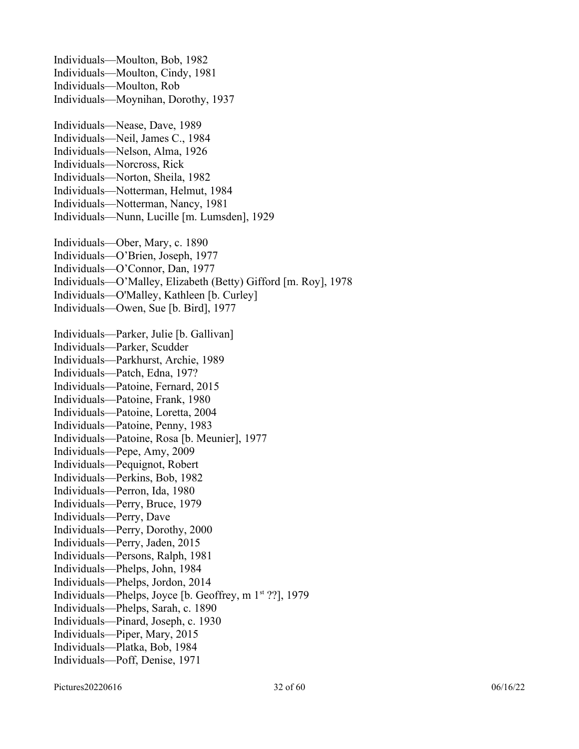Individuals—Moulton, Bob, 1982 Individuals—Moulton, Cindy, 1981 Individuals—Moulton, Rob Individuals—Moynihan, Dorothy, 1937 Individuals—Nease, Dave, 1989 Individuals—Neil, James C., 1984 Individuals—Nelson, Alma, 1926 Individuals—Norcross, Rick Individuals—Norton, Sheila, 1982 Individuals—Notterman, Helmut, 1984 Individuals—Notterman, Nancy, 1981 Individuals—Nunn, Lucille [m. Lumsden], 1929 Individuals—Ober, Mary, c. 1890 Individuals—O'Brien, Joseph, 1977 Individuals—O'Connor, Dan, 1977 Individuals—O'Malley, Elizabeth (Betty) Gifford [m. Roy], 1978 Individuals—O'Malley, Kathleen [b. Curley] Individuals—Owen, Sue [b. Bird], 1977 Individuals—Parker, Julie [b. Gallivan] Individuals—Parker, Scudder Individuals—Parkhurst, Archie, 1989 Individuals—Patch, Edna, 197? Individuals—Patoine, Fernard, 2015 Individuals—Patoine, Frank, 1980 Individuals—Patoine, Loretta, 2004 Individuals—Patoine, Penny, 1983 Individuals—Patoine, Rosa [b. Meunier], 1977 Individuals—Pepe, Amy, 2009 Individuals—Pequignot, Robert Individuals—Perkins, Bob, 1982 Individuals—Perron, Ida, 1980 Individuals—Perry, Bruce, 1979 Individuals—Perry, Dave Individuals—Perry, Dorothy, 2000 Individuals—Perry, Jaden, 2015 Individuals—Persons, Ralph, 1981 Individuals—Phelps, John, 1984 Individuals—Phelps, Jordon, 2014 Individuals—Phelps, Joyce [b. Geoffrey, m  $1<sup>st</sup>$  ??], 1979 Individuals—Phelps, Sarah, c. 1890 Individuals—Pinard, Joseph, c. 1930 Individuals—Piper, Mary, 2015 Individuals—Platka, Bob, 1984 Individuals—Poff, Denise, 1971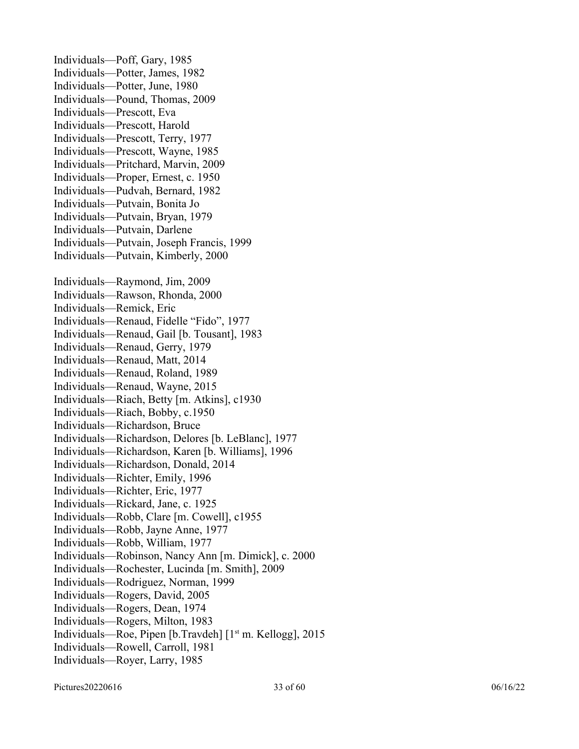Individuals—Poff, Gary, 1985 Individuals—Potter, James, 1982 Individuals—Potter, June, 1980 Individuals—Pound, Thomas, 2009 Individuals—Prescott, Eva Individuals—Prescott, Harold Individuals—Prescott, Terry, 1977 Individuals—Prescott, Wayne, 1985 Individuals—Pritchard, Marvin, 2009 Individuals—Proper, Ernest, c. 1950 Individuals—Pudvah, Bernard, 1982 Individuals—Putvain, Bonita Jo Individuals—Putvain, Bryan, 1979 Individuals—Putvain, Darlene Individuals—Putvain, Joseph Francis, 1999 Individuals—Putvain, Kimberly, 2000 Individuals—Raymond, Jim, 2009 Individuals—Rawson, Rhonda, 2000 Individuals—Remick, Eric Individuals—Renaud, Fidelle "Fido", 1977 Individuals—Renaud, Gail [b. Tousant], 1983 Individuals—Renaud, Gerry, 1979 Individuals—Renaud, Matt, 2014 Individuals—Renaud, Roland, 1989 Individuals—Renaud, Wayne, 2015 Individuals—Riach, Betty [m. Atkins], c1930 Individuals—Riach, Bobby, c.1950 Individuals—Richardson, Bruce Individuals—Richardson, Delores [b. LeBlanc], 1977 Individuals—Richardson, Karen [b. Williams], 1996 Individuals—Richardson, Donald, 2014 Individuals—Richter, Emily, 1996 Individuals—Richter, Eric, 1977 Individuals—Rickard, Jane, c. 1925 Individuals—Robb, Clare [m. Cowell], c1955 Individuals—Robb, Jayne Anne, 1977 Individuals—Robb, William, 1977 Individuals—Robinson, Nancy Ann [m. Dimick], c. 2000 Individuals—Rochester, Lucinda [m. Smith], 2009 Individuals—Rodriguez, Norman, 1999 Individuals—Rogers, David, 2005 Individuals—Rogers, Dean, 1974 Individuals—Rogers, Milton, 1983 Individuals—Roe, Pipen [b.Travdeh] [1<sup>st</sup> m. Kellogg], 2015 Individuals—Rowell, Carroll, 1981 Individuals—Royer, Larry, 1985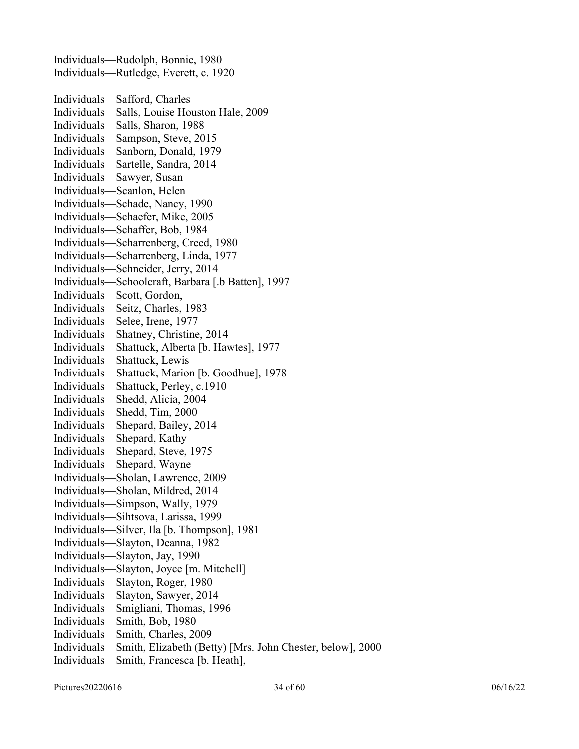Individuals—Rudolph, Bonnie, 1980 Individuals—Rutledge, Everett, c. 1920 Individuals—Safford, Charles Individuals—Salls, Louise Houston Hale, 2009 Individuals—Salls, Sharon, 1988 Individuals—Sampson, Steve, 2015 Individuals—Sanborn, Donald, 1979 Individuals—Sartelle, Sandra, 2014 Individuals—Sawyer, Susan Individuals—Scanlon, Helen Individuals—Schade, Nancy, 1990 Individuals—Schaefer, Mike, 2005 Individuals—Schaffer, Bob, 1984 Individuals—Scharrenberg, Creed, 1980 Individuals—Scharrenberg, Linda, 1977 Individuals—Schneider, Jerry, 2014 Individuals—Schoolcraft, Barbara [.b Batten], 1997 Individuals—Scott, Gordon, Individuals—Seitz, Charles, 1983 Individuals—Selee, Irene, 1977 Individuals—Shatney, Christine, 2014 Individuals—Shattuck, Alberta [b. Hawtes], 1977 Individuals—Shattuck, Lewis Individuals—Shattuck, Marion [b. Goodhue], 1978 Individuals—Shattuck, Perley, c.1910 Individuals—Shedd, Alicia, 2004 Individuals—Shedd, Tim, 2000 Individuals—Shepard, Bailey, 2014 Individuals—Shepard, Kathy Individuals—Shepard, Steve, 1975 Individuals—Shepard, Wayne Individuals—Sholan, Lawrence, 2009 Individuals—Sholan, Mildred, 2014 Individuals—Simpson, Wally, 1979 Individuals—Sihtsova, Larissa, 1999 Individuals—Silver, Ila [b. Thompson], 1981 Individuals—Slayton, Deanna, 1982 Individuals—Slayton, Jay, 1990 Individuals—Slayton, Joyce [m. Mitchell] Individuals—Slayton, Roger, 1980 Individuals—Slayton, Sawyer, 2014 Individuals—Smigliani, Thomas, 1996 Individuals—Smith, Bob, 1980 Individuals—Smith, Charles, 2009 Individuals—Smith, Elizabeth (Betty) [Mrs. John Chester, below], 2000 Individuals—Smith, Francesca [b. Heath],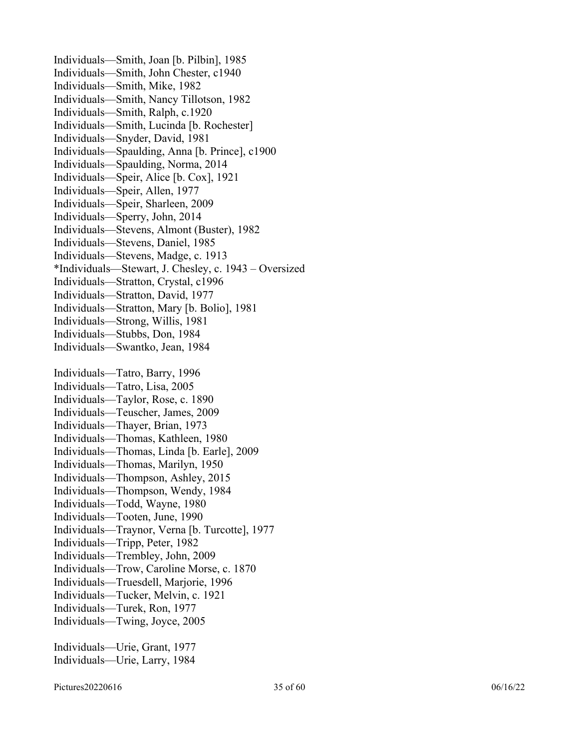Individuals—Smith, Joan [b. Pilbin], 1985 Individuals—Smith, John Chester, c1940 Individuals—Smith, Mike, 1982 Individuals—Smith, Nancy Tillotson, 1982 Individuals—Smith, Ralph, c.1920 Individuals—Smith, Lucinda [b. Rochester] Individuals—Snyder, David, 1981 Individuals—Spaulding, Anna [b. Prince], c1900 Individuals—Spaulding, Norma, 2014 Individuals—Speir, Alice [b. Cox], 1921 Individuals—Speir, Allen, 1977 Individuals—Speir, Sharleen, 2009 Individuals—Sperry, John, 2014 Individuals—Stevens, Almont (Buster), 1982 Individuals—Stevens, Daniel, 1985 Individuals—Stevens, Madge, c. 1913 \*Individuals—Stewart, J. Chesley, c. 1943 – Oversized Individuals—Stratton, Crystal, c1996 Individuals—Stratton, David, 1977 Individuals—Stratton, Mary [b. Bolio], 1981 Individuals—Strong, Willis, 1981 Individuals—Stubbs, Don, 1984 Individuals—Swantko, Jean, 1984 Individuals—Tatro, Barry, 1996 Individuals—Tatro, Lisa, 2005 Individuals—Taylor, Rose, c. 1890 Individuals—Teuscher, James, 2009 Individuals—Thayer, Brian, 1973 Individuals—Thomas, Kathleen, 1980 Individuals—Thomas, Linda [b. Earle], 2009 Individuals—Thomas, Marilyn, 1950 Individuals—Thompson, Ashley, 2015 Individuals—Thompson, Wendy, 1984 Individuals—Todd, Wayne, 1980 Individuals—Tooten, June, 1990 Individuals—Traynor, Verna [b. Turcotte], 1977 Individuals—Tripp, Peter, 1982 Individuals—Trembley, John, 2009 Individuals—Trow, Caroline Morse, c. 1870 Individuals—Truesdell, Marjorie, 1996 Individuals—Tucker, Melvin, c. 1921 Individuals—Turek, Ron, 1977 Individuals—Twing, Joyce, 2005 Individuals—Urie, Grant, 1977

Individuals—Urie, Larry, 1984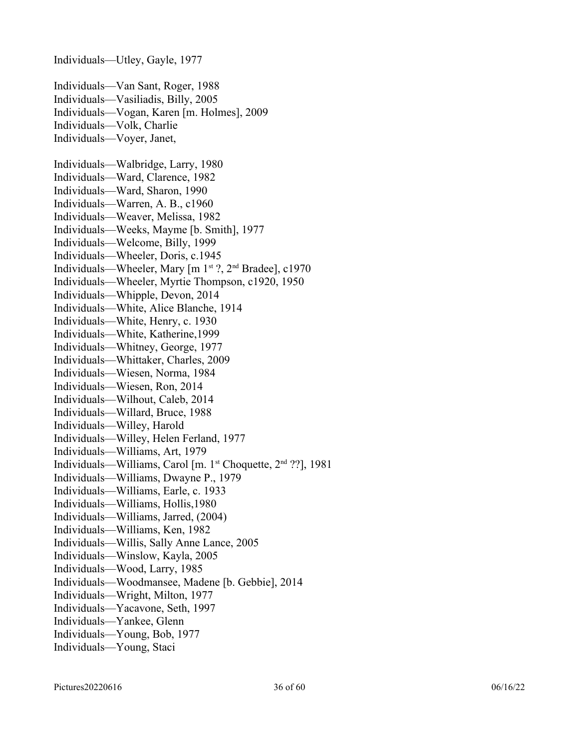Individuals—Utley, Gayle, 1977 Individuals—Van Sant, Roger, 1988 Individuals—Vasiliadis, Billy, 2005 Individuals—Vogan, Karen [m. Holmes], 2009 Individuals—Volk, Charlie Individuals—Voyer, Janet, Individuals—Walbridge, Larry, 1980 Individuals—Ward, Clarence, 1982 Individuals—Ward, Sharon, 1990 Individuals—Warren, A. B., c1960 Individuals—Weaver, Melissa, 1982 Individuals—Weeks, Mayme [b. Smith], 1977 Individuals—Welcome, Billy, 1999 Individuals—Wheeler, Doris, c.1945 Individuals—Wheeler, Mary  $\lceil m \rceil^{st}$  ?,  $2^{nd}$  Bradee], c1970 Individuals—Wheeler, Myrtie Thompson, c1920, 1950 Individuals—Whipple, Devon, 2014 Individuals—White, Alice Blanche, 1914 Individuals—White, Henry, c. 1930 Individuals—White, Katherine,1999 Individuals—Whitney, George, 1977 Individuals—Whittaker, Charles, 2009 Individuals—Wiesen, Norma, 1984 Individuals—Wiesen, Ron, 2014 Individuals—Wilhout, Caleb, 2014 Individuals—Willard, Bruce, 1988 Individuals—Willey, Harold Individuals—Willey, Helen Ferland, 1977 Individuals—Williams, Art, 1979 Individuals—Williams, Carol [m.  $1<sup>st</sup>$  Choquette,  $2<sup>nd</sup>$  ??], 1981 Individuals—Williams, Dwayne P., 1979 Individuals—Williams, Earle, c. 1933 Individuals—Williams, Hollis,1980 Individuals—Williams, Jarred, (2004) Individuals—Williams, Ken, 1982 Individuals—Willis, Sally Anne Lance, 2005 Individuals—Winslow, Kayla, 2005 Individuals—Wood, Larry, 1985 Individuals—Woodmansee, Madene [b. Gebbie], 2014 Individuals—Wright, Milton, 1977 Individuals—Yacavone, Seth, 1997 Individuals—Yankee, Glenn Individuals—Young, Bob, 1977 Individuals—Young, Staci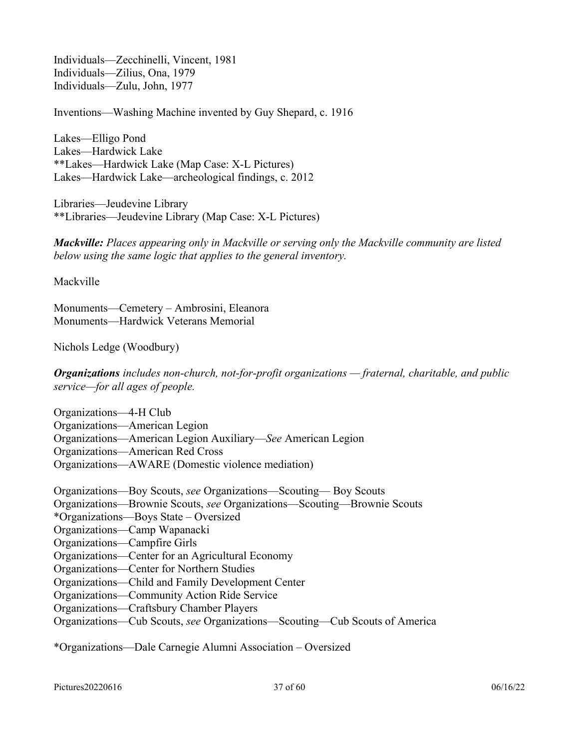Individuals—Zecchinelli, Vincent, 1981 Individuals—Zilius, Ona, 1979 Individuals—Zulu, John, 1977

Inventions—Washing Machine invented by Guy Shepard, c. 1916

Lakes—Elligo Pond Lakes—Hardwick Lake \*\*Lakes—Hardwick Lake (Map Case: X-L Pictures) Lakes—Hardwick Lake—archeological findings, c. 2012

Libraries—Jeudevine Library \*\*Libraries—Jeudevine Library (Map Case: X-L Pictures)

*Mackville: Places appearing only in Mackville or serving only the Mackville community are listed below using the same logic that applies to the general inventory.* 

Mackville

Monuments—Cemetery – Ambrosini, Eleanora Monuments—Hardwick Veterans Memorial

Nichols Ledge (Woodbury)

*Organizations includes non-church, not-for-profit organizations — fraternal, charitable, and public service—for all ages of people.* 

Organizations—4-H Club Organizations—American Legion Organizations—American Legion Auxiliary—*See* American Legion Organizations—American Red Cross Organizations—AWARE (Domestic violence mediation)

Organizations—Boy Scouts, *see* Organizations—Scouting— Boy Scouts Organizations—Brownie Scouts, *see* Organizations—Scouting—Brownie Scouts \*Organizations—Boys State – Oversized Organizations—Camp Wapanacki Organizations—Campfire Girls Organizations—Center for an Agricultural Economy Organizations—Center for Northern Studies Organizations—Child and Family Development Center Organizations—Community Action Ride Service Organizations—Craftsbury Chamber Players Organizations—Cub Scouts, *see* Organizations—Scouting—Cub Scouts of America

\*Organizations—Dale Carnegie Alumni Association – Oversized

Pictures20220616 06/16/22 06/16/22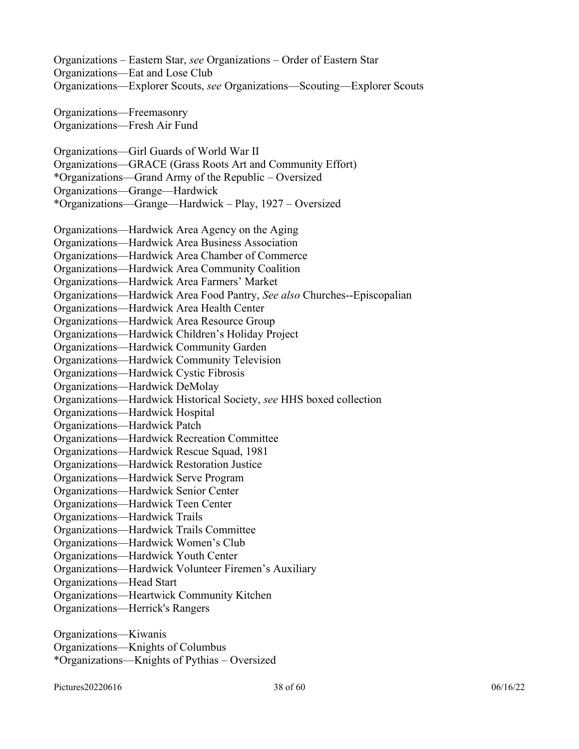| Organizations - Eastern Star, see Organizations - Order of Eastern Star<br>Organizations-Eat and Lose Club |
|------------------------------------------------------------------------------------------------------------|
| Organizations-Explorer Scouts, see Organizations-Scouting-Explorer Scouts                                  |
| Organizations-Freemasonry                                                                                  |
| Organizations-Fresh Air Fund                                                                               |
| Organizations—Girl Guards of World War II                                                                  |
| Organizations-GRACE (Grass Roots Art and Community Effort)                                                 |
| *Organizations—Grand Army of the Republic – Oversized                                                      |
| Organizations-Grange-Hardwick                                                                              |
| *Organizations—Grange—Hardwick – Play, 1927 – Oversized                                                    |
| Organizations—Hardwick Area Agency on the Aging                                                            |
| Organizations—Hardwick Area Business Association                                                           |
| Organizations—Hardwick Area Chamber of Commerce                                                            |
| Organizations-Hardwick Area Community Coalition                                                            |
| Organizations-Hardwick Area Farmers' Market                                                                |
| Organizations—Hardwick Area Food Pantry, See also Churches--Episcopalian                                   |
| Organizations-Hardwick Area Health Center                                                                  |
| Organizations-Hardwick Area Resource Group                                                                 |
| Organizations-Hardwick Children's Holiday Project                                                          |
| Organizations—Hardwick Community Garden                                                                    |
| Organizations-Hardwick Community Television                                                                |
| Organizations-Hardwick Cystic Fibrosis                                                                     |
| Organizations-Hardwick DeMolay                                                                             |
| Organizations—Hardwick Historical Society, see HHS boxed collection<br>Organizations-Hardwick Hospital     |
| Organizations-Hardwick Patch                                                                               |
| Organizations-Hardwick Recreation Committee                                                                |
| Organizations-Hardwick Rescue Squad, 1981                                                                  |
| Organizations-Hardwick Restoration Justice                                                                 |
| Organizations—Hardwick Serve Program                                                                       |
| Organizations-Hardwick Senior Center                                                                       |
| Organizations-Hardwick Teen Center                                                                         |
| Organizations-Hardwick Trails                                                                              |
| Organizations-Hardwick Trails Committee                                                                    |
| Organizations-Hardwick Women's Club                                                                        |
| Organizations-Hardwick Youth Center                                                                        |
| Organizations-Hardwick Volunteer Firemen's Auxiliary                                                       |
| Organizations-Head Start                                                                                   |
| Organizations-Heartwick Community Kitchen                                                                  |
| Organizations—Herrick's Rangers                                                                            |
| Organizations-Kiwanis                                                                                      |
| Organizations-Knights of Columbus                                                                          |
| *Organizations-Knights of Pythias - Oversized                                                              |

Pictures20220616 38 of 60 06/16/22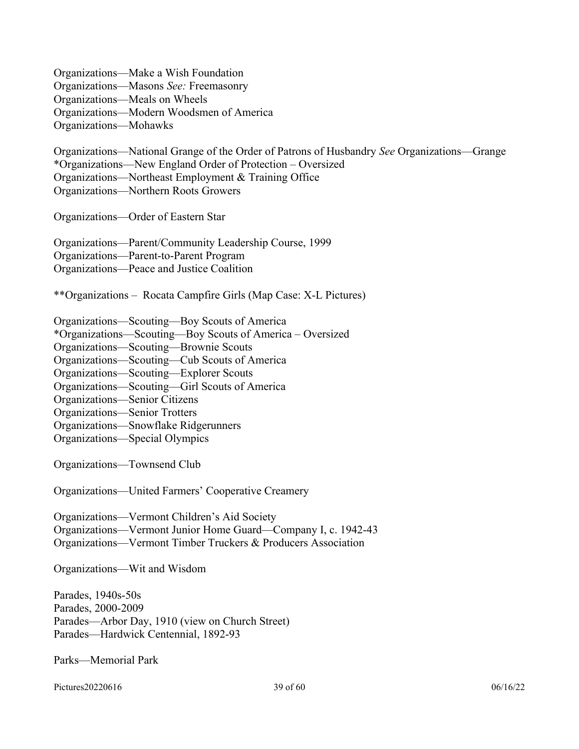Organizations—Make a Wish Foundation Organizations—Masons *See:* Freemasonry Organizations—Meals on Wheels Organizations—Modern Woodsmen of America Organizations—Mohawks

Organizations—National Grange of the Order of Patrons of Husbandry *See* Organizations—Grange \*Organizations—New England Order of Protection – Oversized

Organizations—Northeast Employment & Training Office

Organizations—Northern Roots Growers

Organizations—Order of Eastern Star

Organizations—Parent/Community Leadership Course, 1999 Organizations—Parent-to-Parent Program

Organizations—Peace and Justice Coalition

\*\*Organizations – Rocata Campfire Girls (Map Case: X-L Pictures)

Organizations—Scouting—Boy Scouts of America

- \*Organizations—Scouting—Boy Scouts of America Oversized
- Organizations—Scouting—Brownie Scouts

Organizations—Scouting—Cub Scouts of America

Organizations—Scouting—Explorer Scouts

Organizations—Scouting—Girl Scouts of America

Organizations—Senior Citizens

Organizations—Senior Trotters

Organizations—Snowflake Ridgerunners

Organizations—Special Olympics

Organizations—Townsend Club

Organizations—United Farmers' Cooperative Creamery

Organizations—Vermont Children's Aid Society Organizations—Vermont Junior Home Guard—Company I, c. 1942-43 Organizations—Vermont Timber Truckers & Producers Association

Organizations—Wit and Wisdom

Parades, 1940s-50s Parades, 2000-2009 Parades—Arbor Day, 1910 (view on Church Street) Parades—Hardwick Centennial, 1892-93

Parks—Memorial Park

Pictures20220616  $06/16/22$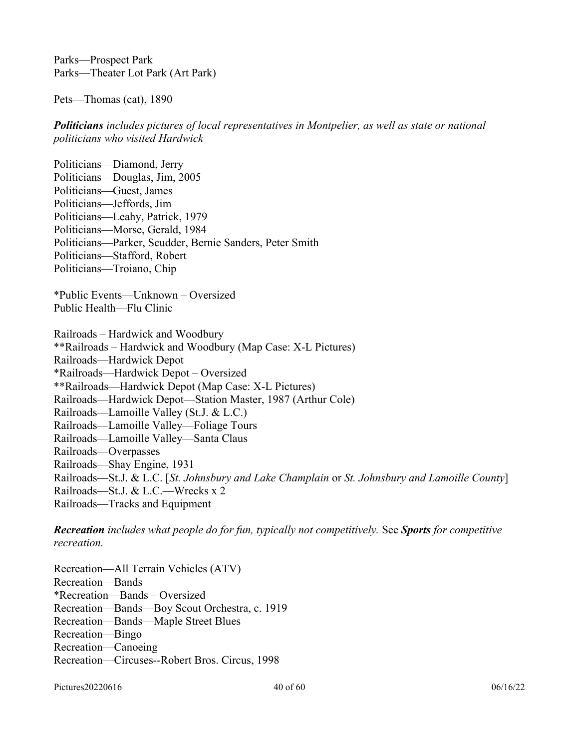Parks—Prospect Park Parks—Theater Lot Park (Art Park)

Pets—Thomas (cat), 1890

*Politicians includes pictures of local representatives in Montpelier, as well as state or national politicians who visited Hardwick* 

Politicians—Diamond, Jerry Politicians—Douglas, Jim, 2005 Politicians—Guest, James Politicians—Jeffords, Jim Politicians—Leahy, Patrick, 1979 Politicians—Morse, Gerald, 1984 Politicians—Parker, Scudder, Bernie Sanders, Peter Smith Politicians—Stafford, Robert Politicians—Troiano, Chip

\*Public Events—Unknown – Oversized Public Health—Flu Clinic

Railroads – Hardwick and Woodbury \*\*Railroads – Hardwick and Woodbury (Map Case: X-L Pictures) Railroads—Hardwick Depot \*Railroads—Hardwick Depot – Oversized \*\*Railroads—Hardwick Depot (Map Case: X-L Pictures) Railroads—Hardwick Depot—Station Master, 1987 (Arthur Cole) Railroads—Lamoille Valley (St.J. & L.C.) Railroads—Lamoille Valley—Foliage Tours Railroads—Lamoille Valley—Santa Claus Railroads—Overpasses Railroads—Shay Engine, 1931 Railroads—St.J. & L.C. [*St. Johnsbury and Lake Champlain* or *St. Johnsbury and Lamoille County*] Railroads—St.J. & L.C.—Wrecks x 2 Railroads—Tracks and Equipment

*Recreation includes what people do for fun, typically not competitively.* See *Sports for competitive recreation.*

Recreation—All Terrain Vehicles (ATV) Recreation—Bands \*Recreation—Bands – Oversized Recreation—Bands—Boy Scout Orchestra, c. 1919 Recreation—Bands—Maple Street Blues Recreation—Bingo Recreation—Canoeing Recreation—Circuses--Robert Bros. Circus, 1998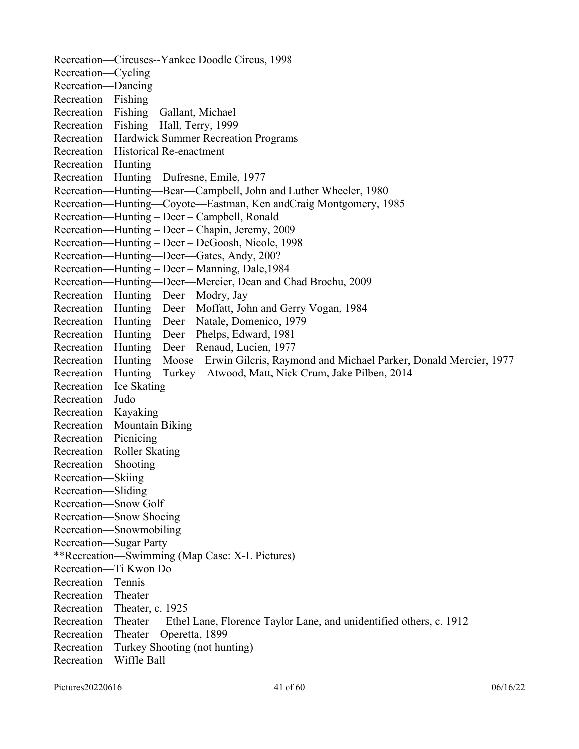Recreation—Circuses--Yankee Doodle Circus, 1998 Recreation—Cycling Recreation—Dancing Recreation—Fishing Recreation—Fishing – Gallant, Michael Recreation—Fishing – Hall, Terry, 1999 Recreation—Hardwick Summer Recreation Programs Recreation—Historical Re-enactment Recreation—Hunting Recreation—Hunting—Dufresne, Emile, 1977 Recreation—Hunting—Bear—Campbell, John and Luther Wheeler, 1980 Recreation—Hunting—Coyote—Eastman, Ken andCraig Montgomery, 1985 Recreation—Hunting – Deer – Campbell, Ronald Recreation—Hunting – Deer – Chapin, Jeremy, 2009 Recreation—Hunting – Deer – DeGoosh, Nicole, 1998 Recreation—Hunting—Deer—Gates, Andy, 200? Recreation—Hunting – Deer – Manning, Dale,1984 Recreation—Hunting—Deer—Mercier, Dean and Chad Brochu, 2009 Recreation—Hunting—Deer—Modry, Jay Recreation—Hunting—Deer—Moffatt, John and Gerry Vogan, 1984 Recreation—Hunting—Deer—Natale, Domenico, 1979 Recreation—Hunting—Deer—Phelps, Edward, 1981 Recreation—Hunting—Deer—Renaud, Lucien, 1977 Recreation—Hunting—Moose—Erwin Gilcris, Raymond and Michael Parker, Donald Mercier, 1977 Recreation—Hunting—Turkey—Atwood, Matt, Nick Crum, Jake Pilben, 2014 Recreation—Ice Skating Recreation—Judo Recreation—Kayaking Recreation—Mountain Biking Recreation—Picnicing Recreation—Roller Skating Recreation—Shooting Recreation—Skiing Recreation—Sliding Recreation—Snow Golf Recreation—Snow Shoeing Recreation—Snowmobiling Recreation—Sugar Party \*\*Recreation—Swimming (Map Case: X-L Pictures) Recreation—Ti Kwon Do Recreation—Tennis Recreation—Theater Recreation—Theater, c. 1925 Recreation—Theater — Ethel Lane, Florence Taylor Lane, and unidentified others, c. 1912 Recreation—Theater—Operetta, 1899 Recreation—Turkey Shooting (not hunting) Recreation—Wiffle Ball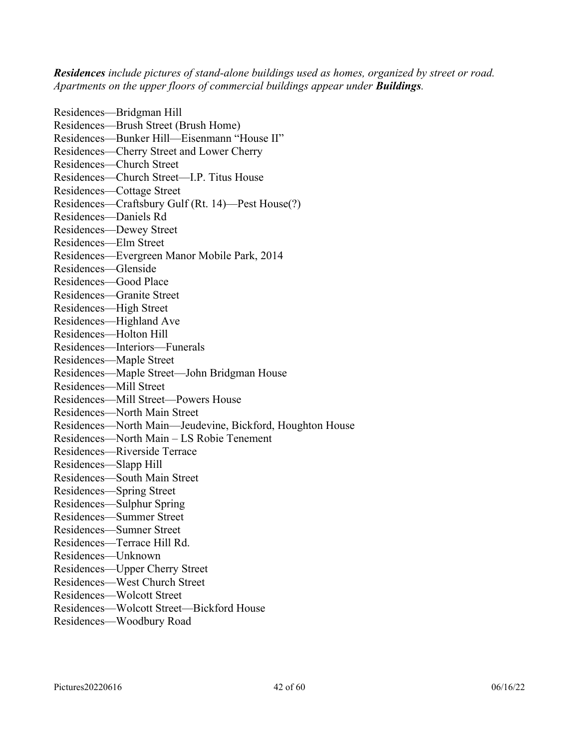*Residences include pictures of stand-alone buildings used as homes, organized by street or road. Apartments on the upper floors of commercial buildings appear under Buildings.*

Residences—Bridgman Hill Residences—Brush Street (Brush Home) Residences—Bunker Hill—Eisenmann "House II" Residences—Cherry Street and Lower Cherry Residences—Church Street Residences—Church Street—I.P. Titus House Residences—Cottage Street Residences—Craftsbury Gulf (Rt. 14)—Pest House(?) Residences—Daniels Rd Residences—Dewey Street Residences—Elm Street Residences—Evergreen Manor Mobile Park, 2014 Residences—Glenside Residences—Good Place Residences—Granite Street Residences—High Street Residences—Highland Ave Residences—Holton Hill Residences—Interiors—Funerals Residences—Maple Street Residences—Maple Street—John Bridgman House Residences—Mill Street Residences—Mill Street—Powers House Residences—North Main Street Residences—North Main—Jeudevine, Bickford, Houghton House Residences—North Main – LS Robie Tenement Residences—Riverside Terrace Residences—Slapp Hill Residences—South Main Street Residences—Spring Street Residences—Sulphur Spring Residences—Summer Street Residences—Sumner Street Residences—Terrace Hill Rd. Residences—Unknown Residences—Upper Cherry Street Residences—West Church Street Residences—Wolcott Street Residences—Wolcott Street—Bickford House Residences—Woodbury Road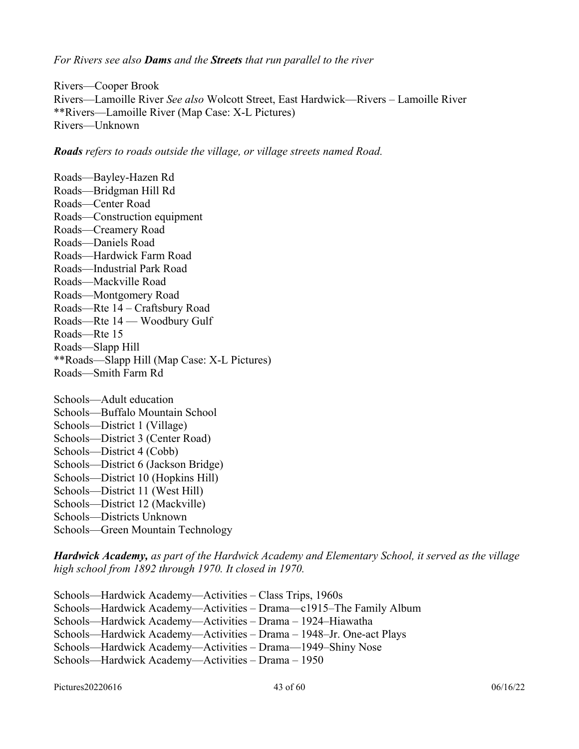*For Rivers see also Dams and the Streets that run parallel to the river*

Rivers—Cooper Brook Rivers—Lamoille River *See also* Wolcott Street, East Hardwick—Rivers – Lamoille River \*\*Rivers—Lamoille River (Map Case: X-L Pictures) Rivers—Unknown

*Roads refers to roads outside the village, or village streets named Road.*

Roads—Bayley-Hazen Rd Roads—Bridgman Hill Rd Roads—Center Road Roads—Construction equipment Roads—Creamery Road Roads—Daniels Road Roads—Hardwick Farm Road Roads—Industrial Park Road Roads—Mackville Road Roads—Montgomery Road Roads—Rte 14 – Craftsbury Road Roads—Rte 14 — Woodbury Gulf Roads—Rte 15 Roads—Slapp Hill \*\*Roads—Slapp Hill (Map Case: X-L Pictures) Roads—Smith Farm Rd Schools—Adult education Schools—Buffalo Mountain School Schools—District 1 (Village) Schools—District 3 (Center Road) Schools—District 4 (Cobb)

Schools—District 6 (Jackson Bridge)

Schools—District 10 (Hopkins Hill)

Schools—District 11 (West Hill)

Schools—District 12 (Mackville)

Schools—Districts Unknown

Schools—Green Mountain Technology

*Hardwick Academy, as part of the Hardwick Academy and Elementary School, it served as the village high school from 1892 through 1970. It closed in 1970.*

Schools—Hardwick Academy—Activities – Class Trips, 1960s Schools—Hardwick Academy—Activities – Drama—c1915–The Family Album Schools—Hardwick Academy—Activities – Drama – 1924–Hiawatha Schools—Hardwick Academy—Activities – Drama – 1948–Jr. One-act Plays Schools—Hardwick Academy—Activities – Drama—1949–Shiny Nose Schools—Hardwick Academy—Activities – Drama – 1950

Pictures20220616 60 06/16/22 06/16/22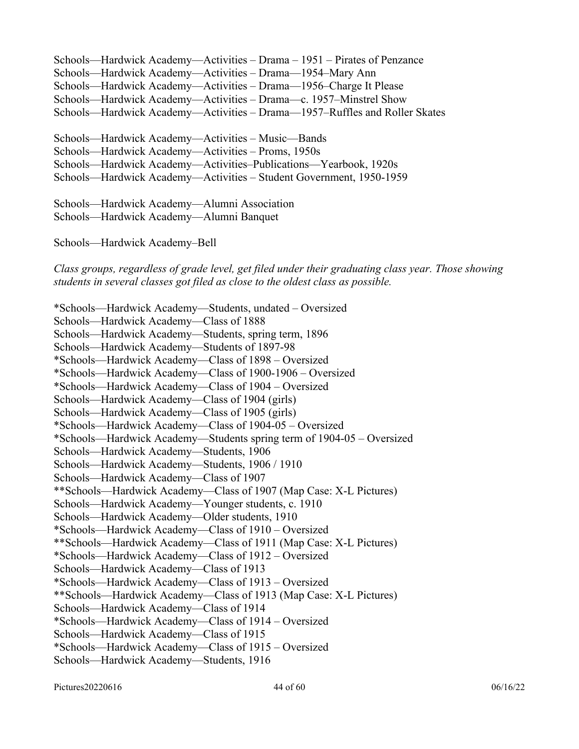Schools—Hardwick Academy—Activities – Drama – 1951 – Pirates of Penzance Schools—Hardwick Academy—Activities – Drama—1954–Mary Ann Schools—Hardwick Academy—Activities – Drama—1956–Charge It Please Schools—Hardwick Academy—Activities – Drama—c. 1957–Minstrel Show Schools—Hardwick Academy—Activities – Drama—1957–Ruffles and Roller Skates

Schools—Hardwick Academy—Activities – Music—Bands Schools—Hardwick Academy—Activities – Proms, 1950s Schools—Hardwick Academy—Activities–Publications—Yearbook, 1920s Schools—Hardwick Academy—Activities – Student Government, 1950-1959

Schools—Hardwick Academy—Alumni Association Schools—Hardwick Academy—Alumni Banquet

Schools—Hardwick Academy–Bell

*Class groups, regardless of grade level, get filed under their graduating class year. Those showing students in several classes got filed as close to the oldest class as possible.*

\*Schools—Hardwick Academy—Students, undated – Oversized Schools—Hardwick Academy—Class of 1888 Schools—Hardwick Academy—Students, spring term, 1896 Schools—Hardwick Academy—Students of 1897-98 \*Schools—Hardwick Academy—Class of 1898 – Oversized \*Schools—Hardwick Academy—Class of 1900-1906 – Oversized \*Schools—Hardwick Academy—Class of 1904 – Oversized Schools—Hardwick Academy—Class of 1904 (girls) Schools—Hardwick Academy—Class of 1905 (girls) \*Schools—Hardwick Academy—Class of 1904-05 – Oversized \*Schools—Hardwick Academy—Students spring term of 1904-05 – Oversized Schools—Hardwick Academy—Students, 1906 Schools—Hardwick Academy—Students, 1906 / 1910 Schools—Hardwick Academy—Class of 1907 \*\*Schools—Hardwick Academy—Class of 1907 (Map Case: X-L Pictures) Schools—Hardwick Academy—Younger students, c. 1910 Schools—Hardwick Academy—Older students, 1910 \*Schools—Hardwick Academy—Class of 1910 – Oversized \*\*Schools—Hardwick Academy—Class of 1911 (Map Case: X-L Pictures) \*Schools—Hardwick Academy—Class of 1912 – Oversized Schools—Hardwick Academy—Class of 1913 \*Schools—Hardwick Academy—Class of 1913 – Oversized \*\*Schools—Hardwick Academy—Class of 1913 (Map Case: X-L Pictures) Schools—Hardwick Academy—Class of 1914 \*Schools—Hardwick Academy—Class of 1914 – Oversized Schools—Hardwick Academy—Class of 1915 \*Schools—Hardwick Academy—Class of 1915 – Oversized Schools—Hardwick Academy—Students, 1916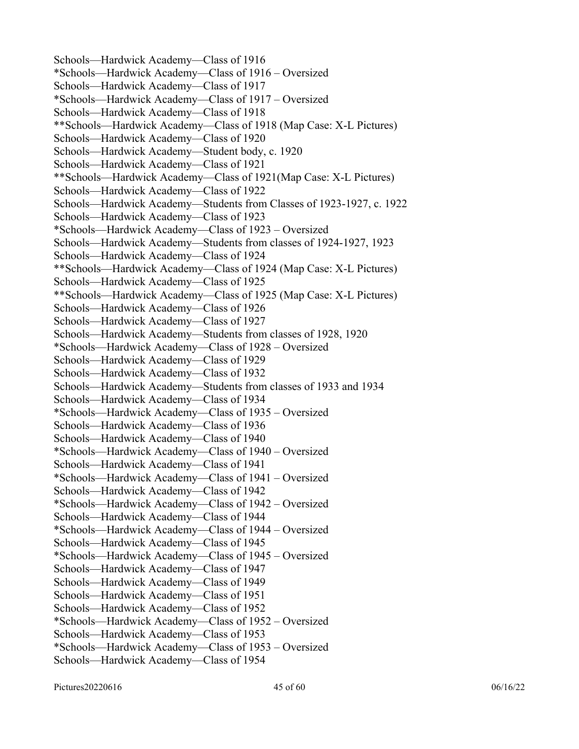Schools—Hardwick Academy—Class of 1916 \*Schools—Hardwick Academy—Class of 1916 – Oversized Schools—Hardwick Academy—Class of 1917 \*Schools—Hardwick Academy—Class of 1917 – Oversized Schools—Hardwick Academy—Class of 1918 \*\*Schools—Hardwick Academy—Class of 1918 (Map Case: X-L Pictures) Schools—Hardwick Academy—Class of 1920 Schools—Hardwick Academy—Student body, c. 1920 Schools—Hardwick Academy—Class of 1921 \*\*Schools—Hardwick Academy—Class of 1921(Map Case: X-L Pictures) Schools—Hardwick Academy—Class of 1922 Schools—Hardwick Academy—Students from Classes of 1923-1927, c. 1922 Schools—Hardwick Academy—Class of 1923 \*Schools—Hardwick Academy—Class of 1923 – Oversized Schools—Hardwick Academy—Students from classes of 1924-1927, 1923 Schools—Hardwick Academy—Class of 1924 \*\*Schools—Hardwick Academy—Class of 1924 (Map Case: X-L Pictures) Schools—Hardwick Academy—Class of 1925 \*\*Schools—Hardwick Academy—Class of 1925 (Map Case: X-L Pictures) Schools—Hardwick Academy—Class of 1926 Schools—Hardwick Academy—Class of 1927 Schools—Hardwick Academy—Students from classes of 1928, 1920 \*Schools—Hardwick Academy—Class of 1928 – Oversized Schools—Hardwick Academy—Class of 1929 Schools—Hardwick Academy—Class of 1932 Schools—Hardwick Academy—Students from classes of 1933 and 1934 Schools—Hardwick Academy—Class of 1934 \*Schools—Hardwick Academy—Class of 1935 – Oversized Schools—Hardwick Academy—Class of 1936 Schools—Hardwick Academy—Class of 1940 \*Schools—Hardwick Academy—Class of 1940 – Oversized Schools—Hardwick Academy—Class of 1941 \*Schools—Hardwick Academy—Class of 1941 – Oversized Schools—Hardwick Academy—Class of 1942 \*Schools—Hardwick Academy—Class of 1942 – Oversized Schools—Hardwick Academy—Class of 1944 \*Schools—Hardwick Academy—Class of 1944 – Oversized Schools—Hardwick Academy—Class of 1945 \*Schools—Hardwick Academy—Class of 1945 – Oversized Schools—Hardwick Academy—Class of 1947 Schools—Hardwick Academy—Class of 1949 Schools—Hardwick Academy—Class of 1951 Schools—Hardwick Academy—Class of 1952 \*Schools—Hardwick Academy—Class of 1952 – Oversized Schools—Hardwick Academy—Class of 1953 \*Schools—Hardwick Academy—Class of 1953 – Oversized Schools—Hardwick Academy—Class of 1954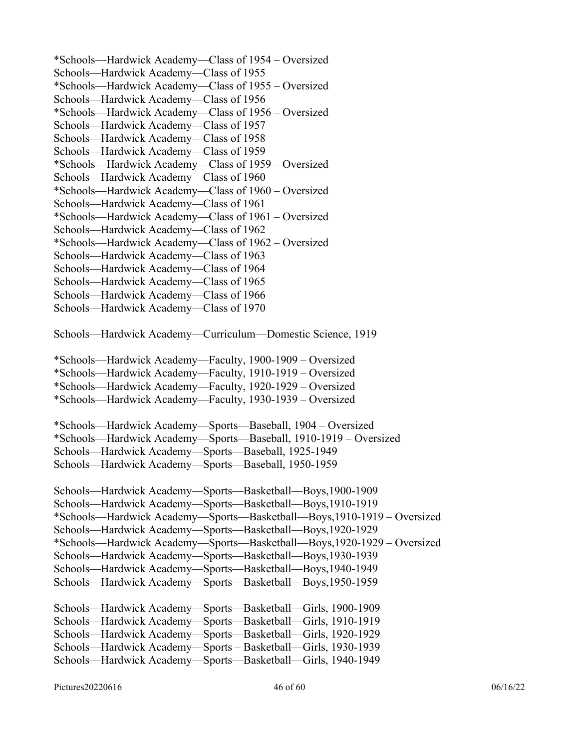\*Schools—Hardwick Academy—Class of 1954 – Oversized Schools—Hardwick Academy—Class of 1955 \*Schools—Hardwick Academy—Class of 1955 – Oversized Schools—Hardwick Academy—Class of 1956 \*Schools—Hardwick Academy—Class of 1956 – Oversized Schools—Hardwick Academy—Class of 1957 Schools—Hardwick Academy—Class of 1958 Schools—Hardwick Academy—Class of 1959 \*Schools—Hardwick Academy—Class of 1959 – Oversized Schools—Hardwick Academy—Class of 1960 \*Schools—Hardwick Academy—Class of 1960 – Oversized Schools—Hardwick Academy—Class of 1961 \*Schools—Hardwick Academy—Class of 1961 – Oversized Schools—Hardwick Academy—Class of 1962 \*Schools—Hardwick Academy—Class of 1962 – Oversized Schools—Hardwick Academy—Class of 1963 Schools—Hardwick Academy—Class of 1964 Schools—Hardwick Academy—Class of 1965 Schools—Hardwick Academy—Class of 1966 Schools—Hardwick Academy—Class of 1970 Schools—Hardwick Academy—Curriculum—Domestic Science, 1919 \*Schools—Hardwick Academy—Faculty, 1900-1909 – Oversized \*Schools—Hardwick Academy—Faculty, 1910-1919 – Oversized \*Schools—Hardwick Academy—Faculty, 1920-1929 – Oversized \*Schools—Hardwick Academy—Faculty, 1930-1939 – Oversized \*Schools—Hardwick Academy—Sports—Baseball, 1904 – Oversized \*Schools—Hardwick Academy—Sports—Baseball, 1910-1919 – Oversized Schools—Hardwick Academy—Sports—Baseball, 1925-1949 Schools—Hardwick Academy—Sports—Baseball, 1950-1959 Schools—Hardwick Academy—Sports—Basketball—Boys,1900-1909 Schools—Hardwick Academy—Sports—Basketball—Boys,1910-1919 \*Schools—Hardwick Academy—Sports—Basketball—Boys,1910-1919 – Oversized Schools—Hardwick Academy—Sports—Basketball—Boys,1920-1929 \*Schools—Hardwick Academy—Sports—Basketball—Boys,1920-1929 – Oversized Schools—Hardwick Academy—Sports—Basketball—Boys,1930-1939 Schools—Hardwick Academy—Sports—Basketball—Boys,1940-1949 Schools—Hardwick Academy—Sports—Basketball—Boys,1950-1959 Schools—Hardwick Academy—Sports—Basketball—Girls, 1900-1909 Schools—Hardwick Academy—Sports—Basketball—Girls, 1910-1919 Schools—Hardwick Academy—Sports—Basketball—Girls, 1920-1929 Schools—Hardwick Academy—Sports – Basketball—Girls, 1930-1939 Schools—Hardwick Academy—Sports—Basketball—Girls, 1940-1949

Pictures20220616  $^{96/16/22}$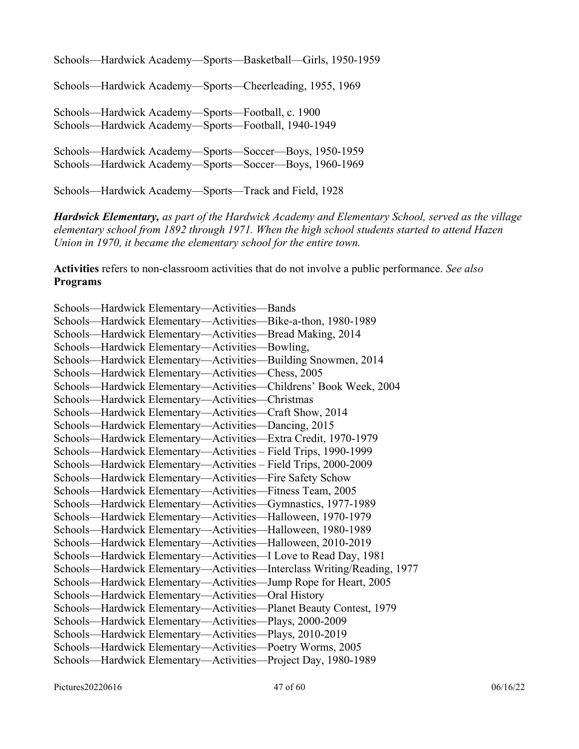Schools—Hardwick Academy—Sports—Basketball—Girls, 1950-1959

Schools—Hardwick Academy—Sports—Cheerleading, 1955, 1969

Schools—Hardwick Academy—Sports—Football, c. 1900 Schools—Hardwick Academy—Sports—Football, 1940-1949

Schools—Hardwick Academy—Sports—Soccer—Boys, 1950-1959 Schools—Hardwick Academy—Sports—Soccer—Boys, 1960-1969

Schools—Hardwick Academy—Sports—Track and Field, 1928

*Hardwick Elementary, as part of the Hardwick Academy and Elementary School, served as the village elementary school from 1892 through 1971. When the high school students started to attend Hazen Union in 1970, it became the elementary school for the entire town.* 

**Activities** refers to non-classroom activities that do not involve a public performance. *See also* **Programs**

Schools—Hardwick Elementary—Activities—Bands Schools—Hardwick Elementary—Activities—Bike-a-thon, 1980-1989 Schools—Hardwick Elementary—Activities—Bread Making, 2014 Schools—Hardwick Elementary—Activities—Bowling, Schools—Hardwick Elementary—Activities—Building Snowmen, 2014 Schools—Hardwick Elementary—Activities—Chess, 2005 Schools—Hardwick Elementary—Activities—Childrens' Book Week, 2004 Schools—Hardwick Elementary—Activities—Christmas Schools—Hardwick Elementary—Activities—Craft Show, 2014 Schools—Hardwick Elementary—Activities—Dancing, 2015 Schools—Hardwick Elementary—Activities—Extra Credit, 1970-1979 Schools—Hardwick Elementary—Activities – Field Trips, 1990-1999 Schools—Hardwick Elementary—Activities – Field Trips, 2000-2009 Schools—Hardwick Elementary—Activities—Fire Safety Schow Schools—Hardwick Elementary—Activities—Fitness Team, 2005 Schools—Hardwick Elementary—Activities—Gymnastics, 1977-1989 Schools—Hardwick Elementary—Activities—Halloween, 1970-1979 Schools—Hardwick Elementary—Activities—Halloween, 1980-1989 Schools—Hardwick Elementary—Activities—Halloween, 2010-2019 Schools—Hardwick Elementary—Activities—I Love to Read Day, 1981 Schools—Hardwick Elementary—Activities—Interclass Writing/Reading, 1977 Schools—Hardwick Elementary—Activities—Jump Rope for Heart, 2005 Schools—Hardwick Elementary—Activities—Oral History Schools—Hardwick Elementary—Activities—Planet Beauty Contest, 1979 Schools—Hardwick Elementary—Activities—Plays, 2000-2009 Schools—Hardwick Elementary—Activities—Plays, 2010-2019 Schools—Hardwick Elementary—Activities—Poetry Worms, 2005 Schools—Hardwick Elementary—Activities—Project Day, 1980-1989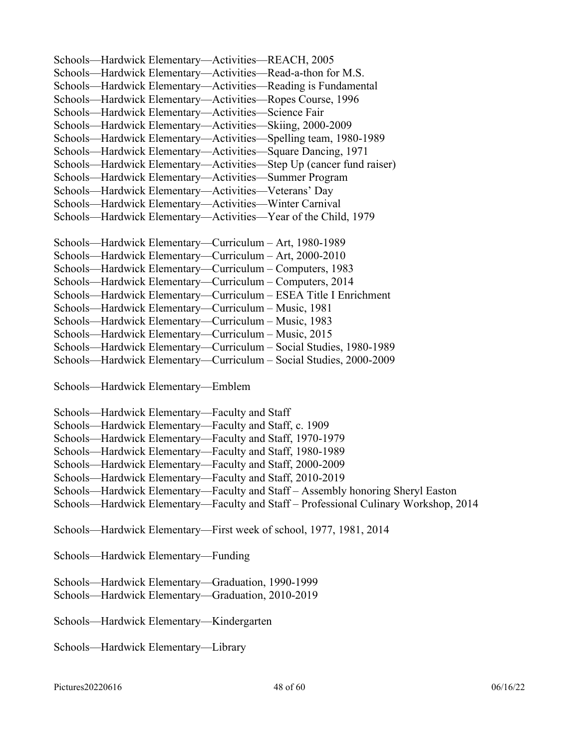Schools—Hardwick Elementary—Activities—REACH, 2005 Schools—Hardwick Elementary—Activities—Read-a-thon for M.S. Schools—Hardwick Elementary—Activities—Reading is Fundamental Schools—Hardwick Elementary—Activities—Ropes Course, 1996 Schools—Hardwick Elementary—Activities—Science Fair Schools—Hardwick Elementary—Activities—Skiing, 2000-2009 Schools—Hardwick Elementary—Activities—Spelling team, 1980-1989 Schools—Hardwick Elementary—Activities—Square Dancing, 1971 Schools—Hardwick Elementary—Activities—Step Up (cancer fund raiser) Schools—Hardwick Elementary—Activities—Summer Program Schools—Hardwick Elementary—Activities—Veterans' Day Schools—Hardwick Elementary—Activities—Winter Carnival Schools—Hardwick Elementary—Activities—Year of the Child, 1979 Schools—Hardwick Elementary—Curriculum – Art, 1980-1989 Schools—Hardwick Elementary—Curriculum – Art, 2000-2010 Schools—Hardwick Elementary—Curriculum – Computers, 1983 Schools—Hardwick Elementary—Curriculum – Computers, 2014 Schools—Hardwick Elementary—Curriculum – ESEA Title I Enrichment Schools—Hardwick Elementary—Curriculum – Music, 1981 Schools—Hardwick Elementary—Curriculum – Music, 1983 Schools—Hardwick Elementary—Curriculum – Music, 2015 Schools—Hardwick Elementary—Curriculum – Social Studies, 1980-1989 Schools—Hardwick Elementary—Curriculum – Social Studies, 2000-2009

Schools—Hardwick Elementary—Emblem

| Schools—Hardwick Elementary—Faculty and Staff                                        |  |
|--------------------------------------------------------------------------------------|--|
| Schools—Hardwick Elementary—Faculty and Staff, c. 1909                               |  |
| Schools—Hardwick Elementary—Faculty and Staff, 1970-1979                             |  |
| Schools—Hardwick Elementary—Faculty and Staff, 1980-1989                             |  |
| Schools—Hardwick Elementary—Faculty and Staff, 2000-2009                             |  |
| Schools—Hardwick Elementary—Faculty and Staff, 2010-2019                             |  |
| Schools—Hardwick Elementary—Faculty and Staff—Assembly honoring Sheryl Easton        |  |
| Schools—Hardwick Elementary—Faculty and Staff – Professional Culinary Workshop, 2014 |  |
|                                                                                      |  |

Schools—Hardwick Elementary—First week of school, 1977, 1981, 2014

Schools—Hardwick Elementary—Funding

Schools—Hardwick Elementary—Graduation, 1990-1999

Schools—Hardwick Elementary—Graduation, 2010-2019

Schools—Hardwick Elementary—Kindergarten

Schools—Hardwick Elementary—Library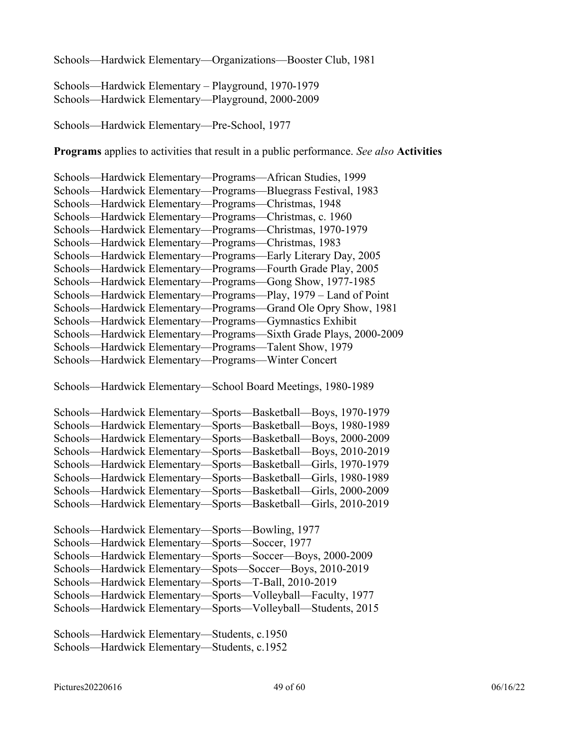Schools—Hardwick Elementary—Organizations—Booster Club, 1981

Schools—Hardwick Elementary – Playground, 1970-1979 Schools—Hardwick Elementary—Playground, 2000-2009

Schools—Hardwick Elementary—Pre-School, 1977

**Programs** applies to activities that result in a public performance. *See also* **Activities**

| Schools-Hardwick Elementary-Programs-African Studies, 1999        |
|-------------------------------------------------------------------|
| Schools—Hardwick Elementary—Programs—Bluegrass Festival, 1983     |
| Schools—Hardwick Elementary—Programs—Christmas, 1948              |
| Schools-Hardwick Elementary-Programs-Christmas, c. 1960           |
| Schools—Hardwick Elementary—Programs—Christmas, 1970-1979         |
| Schools—Hardwick Elementary—Programs—Christmas, 1983              |
| Schools—Hardwick Elementary—Programs—Early Literary Day, 2005     |
| Schools—Hardwick Elementary—Programs—Fourth Grade Play, 2005      |
| Schools—Hardwick Elementary—Programs—Gong Show, 1977-1985         |
| Schools—Hardwick Elementary—Programs—Play, 1979 – Land of Point   |
| Schools—Hardwick Elementary—Programs—Grand Ole Opry Show, 1981    |
| Schools—Hardwick Elementary—Programs—Gymnastics Exhibit           |
| Schools—Hardwick Elementary—Programs—Sixth Grade Plays, 2000-2009 |
| Schools—Hardwick Elementary—Programs—Talent Show, 1979            |
| Schools—Hardwick Elementary—Programs—Winter Concert               |

Schools—Hardwick Elementary—School Board Meetings, 1980-1989

| Schools—Hardwick Elementary—Sports—Basketball—Boys, 1970-1979  |
|----------------------------------------------------------------|
| Schools—Hardwick Elementary—Sports—Basketball—Boys, 1980-1989  |
| Schools—Hardwick Elementary—Sports—Basketball—Boys, 2000-2009  |
| Schools—Hardwick Elementary—Sports—Basketball—Boys, 2010-2019  |
| Schools—Hardwick Elementary—Sports—Basketball—Girls, 1970-1979 |
| Schools—Hardwick Elementary—Sports—Basketball—Girls, 1980-1989 |
| Schools—Hardwick Elementary—Sports—Basketball—Girls, 2000-2009 |
| Schools—Hardwick Elementary—Sports—Basketball—Girls, 2010-2019 |

Schools—Hardwick Elementary—Students, c.1950 Schools—Hardwick Elementary—Students, c.1952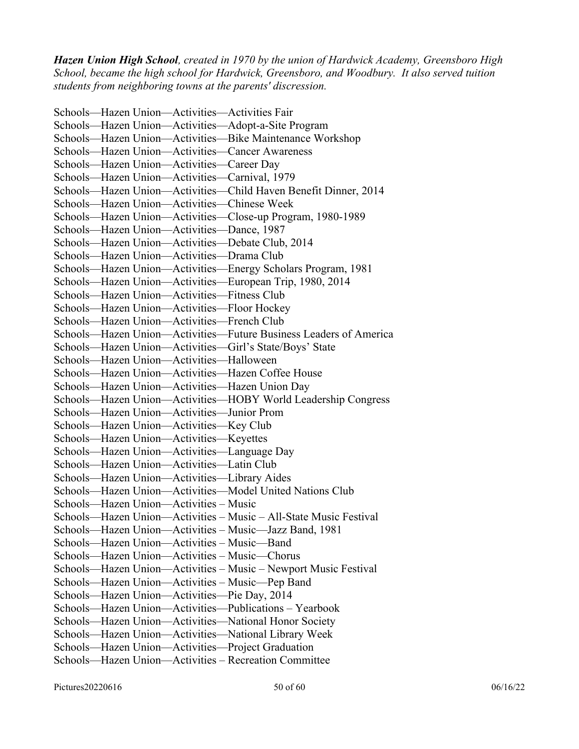*Hazen Union High School, created in 1970 by the union of Hardwick Academy, Greensboro High School, became the high school for Hardwick, Greensboro, and Woodbury. It also served tuition students from neighboring towns at the parents' discression.*

Schools—Hazen Union—Activities—Activities Fair Schools—Hazen Union—Activities—Adopt-a-Site Program Schools—Hazen Union—Activities—Bike Maintenance Workshop Schools—Hazen Union—Activities—Cancer Awareness Schools—Hazen Union—Activities—Career Day Schools—Hazen Union—Activities—Carnival, 1979 Schools—Hazen Union—Activities—Child Haven Benefit Dinner, 2014 Schools—Hazen Union—Activities—Chinese Week Schools—Hazen Union—Activities—Close-up Program, 1980-1989 Schools—Hazen Union—Activities—Dance, 1987 Schools—Hazen Union—Activities—Debate Club, 2014 Schools—Hazen Union—Activities—Drama Club Schools—Hazen Union—Activities—Energy Scholars Program, 1981 Schools—Hazen Union—Activities—European Trip, 1980, 2014 Schools—Hazen Union—Activities—Fitness Club Schools—Hazen Union—Activities—Floor Hockey Schools—Hazen Union—Activities—French Club Schools—Hazen Union—Activities—Future Business Leaders of America Schools—Hazen Union—Activities—Girl's State/Boys' State Schools—Hazen Union—Activities—Halloween Schools—Hazen Union—Activities—Hazen Coffee House Schools—Hazen Union—Activities—Hazen Union Day Schools—Hazen Union—Activities—HOBY World Leadership Congress Schools—Hazen Union—Activities—Junior Prom Schools—Hazen Union—Activities—Key Club Schools—Hazen Union—Activities—Keyettes Schools—Hazen Union—Activities—Language Day Schools—Hazen Union—Activities—Latin Club Schools—Hazen Union—Activities—Library Aides Schools—Hazen Union—Activities—Model United Nations Club Schools—Hazen Union—Activities – Music Schools—Hazen Union—Activities – Music – All-State Music Festival Schools—Hazen Union—Activities – Music—Jazz Band, 1981 Schools—Hazen Union—Activities – Music—Band Schools—Hazen Union—Activities – Music—Chorus Schools—Hazen Union—Activities – Music – Newport Music Festival Schools—Hazen Union—Activities – Music—Pep Band Schools—Hazen Union—Activities—Pie Day, 2014 Schools—Hazen Union—Activities—Publications – Yearbook Schools—Hazen Union—Activities—National Honor Society Schools—Hazen Union—Activities—National Library Week Schools—Hazen Union—Activities—Project Graduation Schools—Hazen Union—Activities – Recreation Committee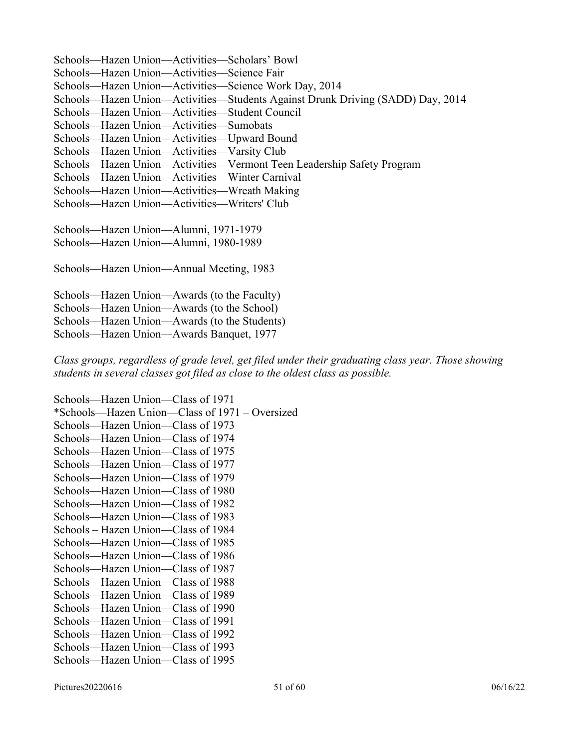Schools—Hazen Union—Activities—Scholars' Bowl Schools—Hazen Union—Activities—Science Fair Schools—Hazen Union—Activities—Science Work Day, 2014 Schools—Hazen Union—Activities—Students Against Drunk Driving (SADD) Day, 2014 Schools—Hazen Union—Activities—Student Council Schools—Hazen Union—Activities—Sumobats Schools—Hazen Union—Activities—Upward Bound Schools—Hazen Union—Activities—Varsity Club Schools—Hazen Union—Activities—Vermont Teen Leadership Safety Program Schools—Hazen Union—Activities—Winter Carnival Schools—Hazen Union—Activities—Wreath Making Schools—Hazen Union—Activities—Writers' Club Schools—Hazen Union—Alumni, 1971-1979 Schools—Hazen Union—Alumni, 1980-1989 Schools—Hazen Union—Annual Meeting, 1983 Schools—Hazen Union—Awards (to the Faculty)

Schools—Hazen Union—Awards (to the School) Schools—Hazen Union—Awards (to the Students) Schools—Hazen Union—Awards Banquet, 1977

*Class groups, regardless of grade level, get filed under their graduating class year. Those showing students in several classes got filed as close to the oldest class as possible.*

Schools—Hazen Union—Class of 1971 \*Schools—Hazen Union—Class of 1971 – Oversized Schools—Hazen Union—Class of 1973 Schools—Hazen Union—Class of 1974 Schools—Hazen Union—Class of 1975 Schools—Hazen Union—Class of 1977 Schools—Hazen Union—Class of 1979 Schools—Hazen Union—Class of 1980 Schools—Hazen Union—Class of 1982 Schools—Hazen Union—Class of 1983 Schools – Hazen Union—Class of 1984 Schools—Hazen Union—Class of 1985 Schools—Hazen Union—Class of 1986 Schools—Hazen Union—Class of 1987 Schools—Hazen Union—Class of 1988 Schools—Hazen Union—Class of 1989 Schools—Hazen Union—Class of 1990 Schools—Hazen Union—Class of 1991 Schools—Hazen Union—Class of 1992 Schools—Hazen Union—Class of 1993 Schools—Hazen Union—Class of 1995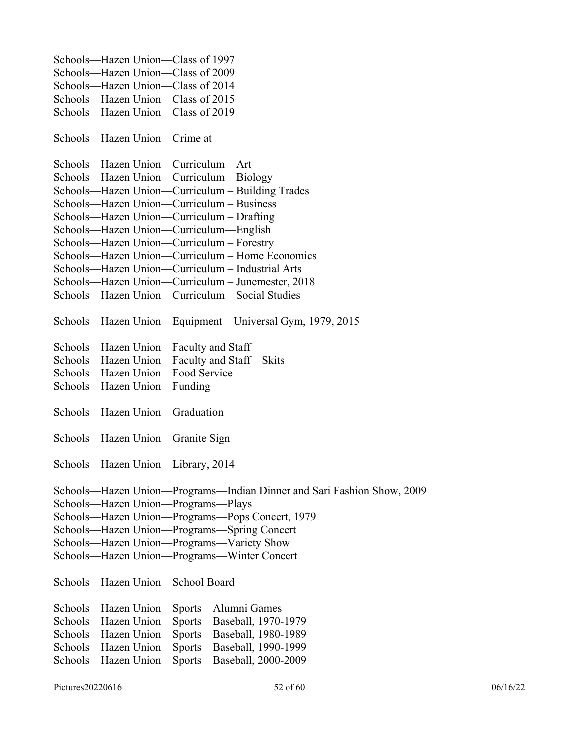Schools—Hazen Union—Class of 1997 Schools—Hazen Union—Class of 2009 Schools—Hazen Union—Class of 2014 Schools—Hazen Union—Class of 2015 Schools—Hazen Union—Class of 2019

Schools—Hazen Union—Crime at

Schools—Hazen Union—Curriculum – Art Schools—Hazen Union—Curriculum – Biology Schools—Hazen Union—Curriculum – Building Trades Schools—Hazen Union—Curriculum – Business Schools—Hazen Union—Curriculum – Drafting Schools—Hazen Union—Curriculum—English Schools—Hazen Union—Curriculum – Forestry Schools—Hazen Union—Curriculum – Home Economics Schools—Hazen Union—Curriculum – Industrial Arts Schools—Hazen Union—Curriculum – Junemester, 2018 Schools—Hazen Union—Curriculum – Social Studies

Schools—Hazen Union—Equipment – Universal Gym, 1979, 2015

Schools—Hazen Union—Faculty and Staff

Schools—Hazen Union—Faculty and Staff—Skits

Schools—Hazen Union—Food Service

Schools—Hazen Union—Funding

Schools—Hazen Union—Graduation

Schools—Hazen Union—Granite Sign

Schools—Hazen Union—Library, 2014

Schools—Hazen Union—Programs—Indian Dinner and Sari Fashion Show, 2009

Schools—Hazen Union—Programs—Plays

Schools—Hazen Union—Programs—Pops Concert, 1979

Schools—Hazen Union—Programs—Spring Concert

Schools—Hazen Union—Programs—Variety Show

Schools—Hazen Union—Programs—Winter Concert

Schools—Hazen Union—School Board

Schools—Hazen Union—Sports—Alumni Games Schools—Hazen Union—Sports—Baseball, 1970-1979 Schools—Hazen Union—Sports—Baseball, 1980-1989 Schools—Hazen Union—Sports—Baseball, 1990-1999 Schools—Hazen Union—Sports—Baseball, 2000-2009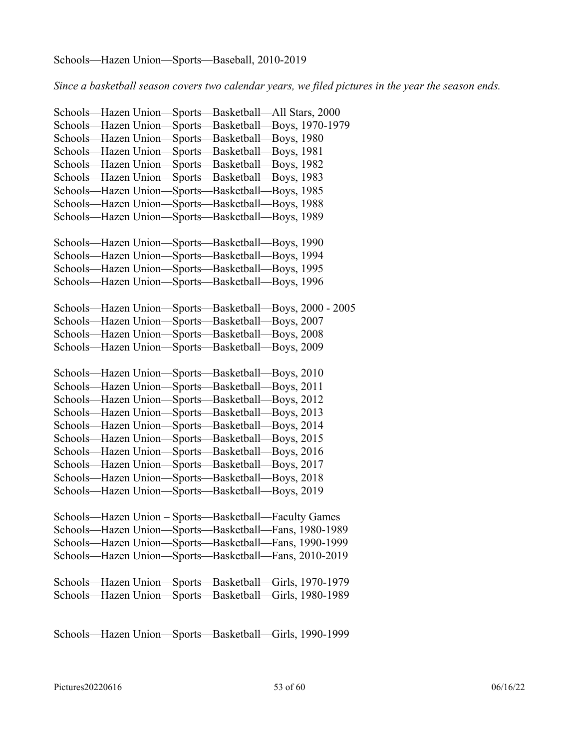#### Schools—Hazen Union—Sports—Baseball, 2010-2019

*Since a basketball season covers two calendar years, we filed pictures in the year the season ends.*

Schools—Hazen Union—Sports—Basketball—All Stars, 2000 Schools—Hazen Union—Sports—Basketball—Boys, 1970-1979 Schools—Hazen Union—Sports—Basketball—Boys, 1980 Schools—Hazen Union—Sports—Basketball—Boys, 1981 Schools—Hazen Union—Sports—Basketball—Boys, 1982 Schools—Hazen Union—Sports—Basketball—Boys, 1983 Schools—Hazen Union—Sports—Basketball—Boys, 1985 Schools—Hazen Union—Sports—Basketball—Boys, 1988 Schools—Hazen Union—Sports—Basketball—Boys, 1989 Schools—Hazen Union—Sports—Basketball—Boys, 1990 Schools—Hazen Union—Sports—Basketball—Boys, 1994 Schools—Hazen Union—Sports—Basketball—Boys, 1995 Schools—Hazen Union—Sports—Basketball—Boys, 1996 Schools—Hazen Union—Sports—Basketball—Boys, 2000 - 2005 Schools—Hazen Union—Sports—Basketball—Boys, 2007 Schools—Hazen Union—Sports—Basketball—Boys, 2008 Schools—Hazen Union—Sports—Basketball—Boys, 2009 Schools—Hazen Union—Sports—Basketball—Boys, 2010 Schools—Hazen Union—Sports—Basketball—Boys, 2011 Schools—Hazen Union—Sports—Basketball—Boys, 2012 Schools—Hazen Union—Sports—Basketball—Boys, 2013 Schools—Hazen Union—Sports—Basketball—Boys, 2014 Schools—Hazen Union—Sports—Basketball—Boys, 2015 Schools—Hazen Union—Sports—Basketball—Boys, 2016 Schools—Hazen Union—Sports—Basketball—Boys, 2017 Schools—Hazen Union—Sports—Basketball—Boys, 2018 Schools—Hazen Union—Sports—Basketball—Boys, 2019 Schools—Hazen Union – Sports—Basketball—Faculty Games Schools—Hazen Union—Sports—Basketball—Fans, 1980-1989 Schools—Hazen Union—Sports—Basketball—Fans, 1990-1999 Schools—Hazen Union—Sports—Basketball—Fans, 2010-2019 Schools—Hazen Union—Sports—Basketball—Girls, 1970-1979 Schools—Hazen Union—Sports—Basketball—Girls, 1980-1989

Schools—Hazen Union—Sports—Basketball—Girls, 1990-1999

Pictures20220616 60 06/16/22 06/16/22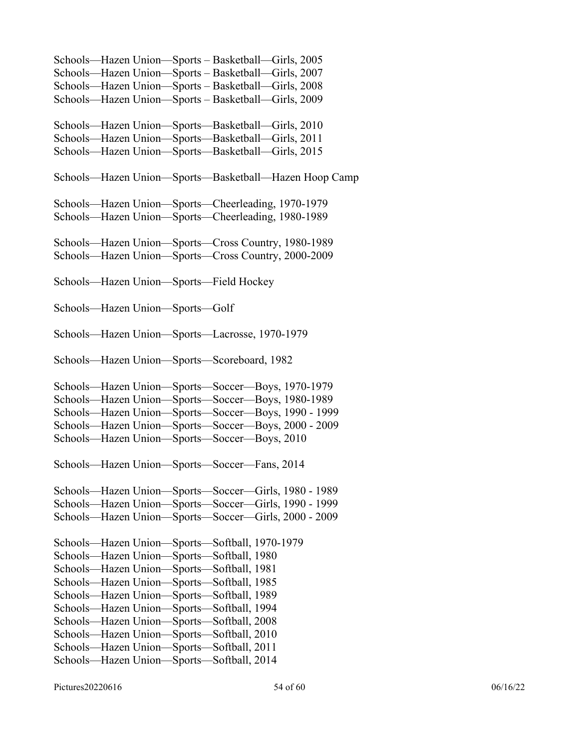Schools—Hazen Union—Sports – Basketball—Girls, 2005 Schools—Hazen Union—Sports – Basketball—Girls, 2007 Schools—Hazen Union—Sports – Basketball—Girls, 2008 Schools—Hazen Union—Sports – Basketball—Girls, 2009 Schools—Hazen Union—Sports—Basketball—Girls, 2010 Schools—Hazen Union—Sports—Basketball—Girls, 2011 Schools—Hazen Union—Sports—Basketball—Girls, 2015 Schools—Hazen Union—Sports—Basketball—Hazen Hoop Camp Schools—Hazen Union—Sports—Cheerleading, 1970-1979 Schools—Hazen Union—Sports—Cheerleading, 1980-1989 Schools—Hazen Union—Sports—Cross Country, 1980-1989 Schools—Hazen Union—Sports—Cross Country, 2000-2009 Schools—Hazen Union—Sports—Field Hockey Schools—Hazen Union—Sports—Golf Schools—Hazen Union—Sports—Lacrosse, 1970-1979 Schools—Hazen Union—Sports—Scoreboard, 1982 Schools—Hazen Union—Sports—Soccer—Boys, 1970-1979 Schools—Hazen Union—Sports—Soccer—Boys, 1980-1989 Schools—Hazen Union—Sports—Soccer—Boys, 1990 - 1999 Schools—Hazen Union—Sports—Soccer—Boys, 2000 - 2009 Schools—Hazen Union—Sports—Soccer—Boys, 2010 Schools—Hazen Union—Sports—Soccer—Fans, 2014 Schools—Hazen Union—Sports—Soccer—Girls, 1980 - 1989 Schools—Hazen Union—Sports—Soccer—Girls, 1990 - 1999 Schools—Hazen Union—Sports—Soccer—Girls, 2000 - 2009 Schools—Hazen Union—Sports—Softball, 1970-1979 Schools—Hazen Union—Sports—Softball, 1980 Schools—Hazen Union—Sports—Softball, 1981 Schools—Hazen Union—Sports—Softball, 1985 Schools—Hazen Union—Sports—Softball, 1989 Schools—Hazen Union—Sports—Softball, 1994 Schools—Hazen Union—Sports—Softball, 2008 Schools—Hazen Union—Sports—Softball, 2010 Schools—Hazen Union—Sports—Softball, 2011 Schools—Hazen Union—Sports—Softball, 2014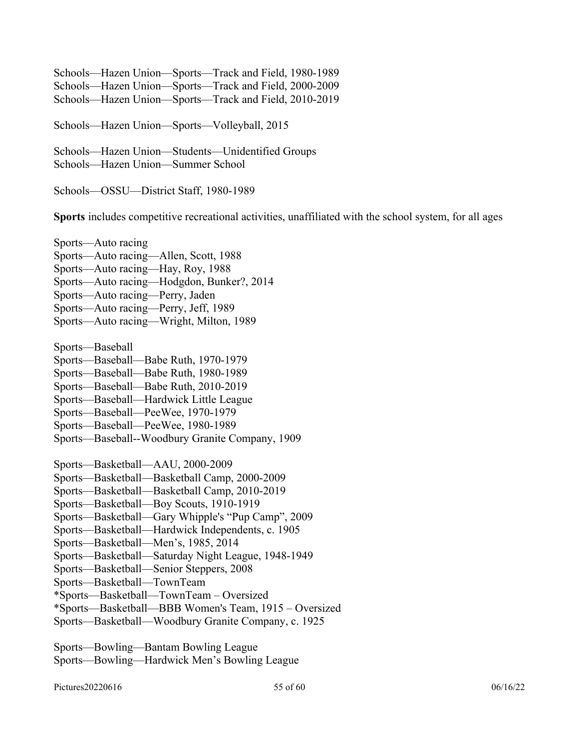Schools—Hazen Union—Sports—Track and Field, 1980-1989 Schools—Hazen Union—Sports—Track and Field, 2000-2009 Schools—Hazen Union—Sports—Track and Field, 2010-2019

Schools—Hazen Union—Sports—Volleyball, 2015

Schools—Hazen Union—Students—Unidentified Groups Schools—Hazen Union—Summer School

Schools—OSSU—District Staff, 1980-1989

**Sports** includes competitive recreational activities, unaffiliated with the school system, for all ages

Sports—Auto racing Sports—Auto racing—Allen, Scott, 1988 Sports—Auto racing—Hay, Roy, 1988 Sports—Auto racing—Hodgdon, Bunker?, 2014 Sports—Auto racing—Perry, Jaden Sports—Auto racing—Perry, Jeff, 1989 Sports—Auto racing—Wright, Milton, 1989

Sports—Baseball

- Sports—Baseball—Babe Ruth, 1970-1979
- Sports—Baseball—Babe Ruth, 1980-1989
- Sports—Baseball—Babe Ruth, 2010-2019
- Sports—Baseball—Hardwick Little League
- Sports—Baseball—PeeWee, 1970-1979
- Sports—Baseball—PeeWee, 1980-1989
- Sports—Baseball--Woodbury Granite Company, 1909

Sports—Basketball—AAU, 2000-2009

- Sports—Basketball—Basketball Camp, 2000-2009
- Sports—Basketball—Basketball Camp, 2010-2019
- Sports—Basketball—Boy Scouts, 1910-1919
- Sports—Basketball—Gary Whipple's "Pup Camp", 2009
- Sports—Basketball—Hardwick Independents, c. 1905
- Sports—Basketball—Men's, 1985, 2014
- Sports—Basketball—Saturday Night League, 1948-1949
- Sports—Basketball—Senior Steppers, 2008
- Sports—Basketball—TownTeam
- \*Sports—Basketball—TownTeam Oversized
- \*Sports—Basketball—BBB Women's Team, 1915 Oversized
- Sports—Basketball—Woodbury Granite Company, c. 1925

Sports—Bowling—Bantam Bowling League Sports—Bowling—Hardwick Men's Bowling League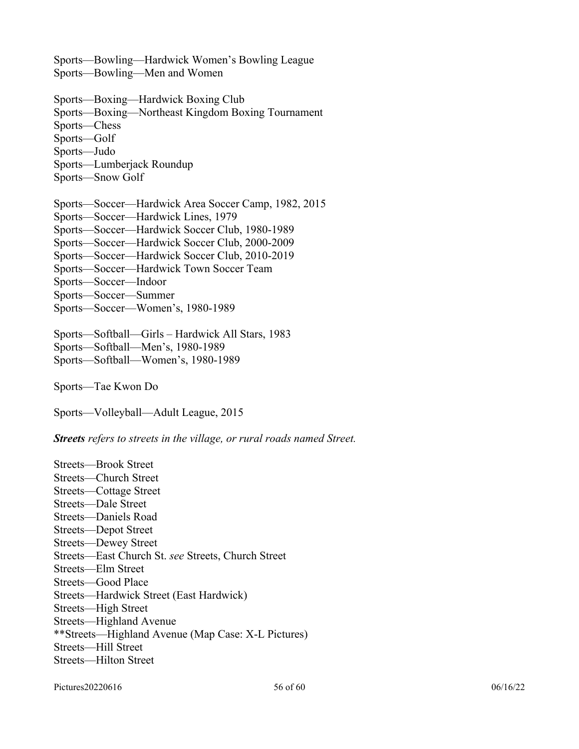Sports—Bowling—Hardwick Women's Bowling League Sports—Bowling—Men and Women

Sports—Boxing—Hardwick Boxing Club Sports—Boxing—Northeast Kingdom Boxing Tournament Sports—Chess Sports—Golf Sports—Judo Sports—Lumberjack Roundup Sports—Snow Golf

Sports—Soccer—Hardwick Area Soccer Camp, 1982, 2015 Sports—Soccer—Hardwick Lines, 1979 Sports—Soccer—Hardwick Soccer Club, 1980-1989 Sports—Soccer—Hardwick Soccer Club, 2000-2009 Sports—Soccer—Hardwick Soccer Club, 2010-2019 Sports—Soccer—Hardwick Town Soccer Team Sports—Soccer—Indoor Sports—Soccer—Summer Sports—Soccer—Women's, 1980-1989

Sports—Softball—Girls – Hardwick All Stars, 1983 Sports—Softball—Men's, 1980-1989 Sports—Softball—Women's, 1980-1989

Sports—Tae Kwon Do

Sports—Volleyball—Adult League, 2015

*Streets refers to streets in the village, or rural roads named Street.*

Streets—Brook Street Streets—Church Street Streets—Cottage Street Streets—Dale Street Streets—Daniels Road Streets—Depot Street Streets—Dewey Street Streets—East Church St. *see* Streets, Church Street Streets—Elm Street Streets—Good Place Streets—Hardwick Street (East Hardwick) Streets—High Street Streets—Highland Avenue \*\*Streets—Highland Avenue (Map Case: X-L Pictures) Streets—Hill Street Streets—Hilton Street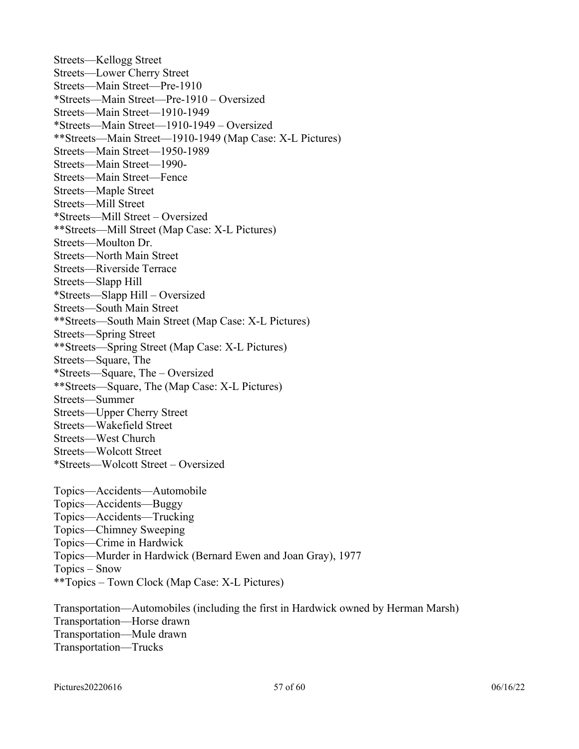Streets—Kellogg Street Streets—Lower Cherry Street Streets—Main Street—Pre-1910 \*Streets—Main Street—Pre-1910 – Oversized Streets—Main Street—1910-1949 \*Streets—Main Street—1910-1949 – Oversized \*\*Streets—Main Street—1910-1949 (Map Case: X-L Pictures) Streets—Main Street—1950-1989 Streets—Main Street—1990- Streets—Main Street—Fence Streets—Maple Street Streets—Mill Street \*Streets—Mill Street – Oversized \*\*Streets—Mill Street (Map Case: X-L Pictures) Streets—Moulton Dr. Streets—North Main Street Streets—Riverside Terrace Streets—Slapp Hill \*Streets—Slapp Hill – Oversized Streets—South Main Street \*\*Streets—South Main Street (Map Case: X-L Pictures) Streets—Spring Street \*\*Streets—Spring Street (Map Case: X-L Pictures) Streets—Square, The \*Streets—Square, The – Oversized \*\*Streets—Square, The (Map Case: X-L Pictures) Streets—Summer Streets—Upper Cherry Street Streets—Wakefield Street Streets—West Church Streets—Wolcott Street \*Streets—Wolcott Street – Oversized Topics—Accidents—Automobile Topics—Accidents—Buggy Topics—Accidents—Trucking Topics—Chimney Sweeping Topics—Crime in Hardwick

Topics—Murder in Hardwick (Bernard Ewen and Joan Gray), 1977

Topics – Snow

\*\*Topics – Town Clock (Map Case: X-L Pictures)

Transportation—Automobiles (including the first in Hardwick owned by Herman Marsh) Transportation—Horse drawn Transportation—Mule drawn Transportation—Trucks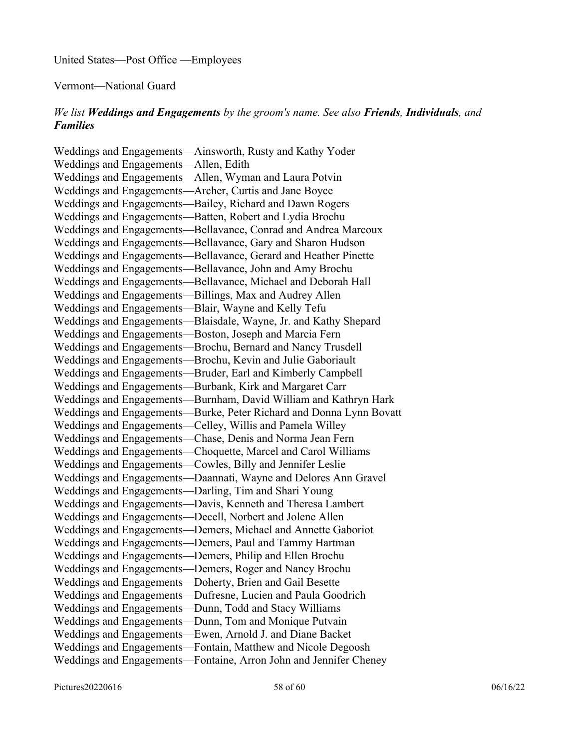United States—Post Office —Employees

Vermont—National Guard

### *We list Weddings and Engagements by the groom's name. See also Friends, Individuals, and Families*

Weddings and Engagements—Ainsworth, Rusty and Kathy Yoder Weddings and Engagements—Allen, Edith Weddings and Engagements—Allen, Wyman and Laura Potvin Weddings and Engagements—Archer, Curtis and Jane Boyce Weddings and Engagements—Bailey, Richard and Dawn Rogers Weddings and Engagements—Batten, Robert and Lydia Brochu Weddings and Engagements—Bellavance, Conrad and Andrea Marcoux Weddings and Engagements—Bellavance, Gary and Sharon Hudson Weddings and Engagements—Bellavance, Gerard and Heather Pinette Weddings and Engagements—Bellavance, John and Amy Brochu Weddings and Engagements—Bellavance, Michael and Deborah Hall Weddings and Engagements—Billings, Max and Audrey Allen Weddings and Engagements—Blair, Wayne and Kelly Tefu Weddings and Engagements—Blaisdale, Wayne, Jr. and Kathy Shepard Weddings and Engagements—Boston, Joseph and Marcia Fern Weddings and Engagements—Brochu, Bernard and Nancy Trusdell Weddings and Engagements—Brochu, Kevin and Julie Gaboriault Weddings and Engagements—Bruder, Earl and Kimberly Campbell Weddings and Engagements—Burbank, Kirk and Margaret Carr Weddings and Engagements—Burnham, David William and Kathryn Hark Weddings and Engagements—Burke, Peter Richard and Donna Lynn Bovatt Weddings and Engagements—Celley, Willis and Pamela Willey Weddings and Engagements—Chase, Denis and Norma Jean Fern Weddings and Engagements—Choquette, Marcel and Carol Williams Weddings and Engagements—Cowles, Billy and Jennifer Leslie Weddings and Engagements—Daannati, Wayne and Delores Ann Gravel Weddings and Engagements—Darling, Tim and Shari Young Weddings and Engagements—Davis, Kenneth and Theresa Lambert Weddings and Engagements—Decell, Norbert and Jolene Allen Weddings and Engagements—Demers, Michael and Annette Gaboriot Weddings and Engagements—Demers, Paul and Tammy Hartman Weddings and Engagements—Demers, Philip and Ellen Brochu Weddings and Engagements—Demers, Roger and Nancy Brochu Weddings and Engagements—Doherty, Brien and Gail Besette Weddings and Engagements—Dufresne, Lucien and Paula Goodrich Weddings and Engagements—Dunn, Todd and Stacy Williams Weddings and Engagements—Dunn, Tom and Monique Putvain Weddings and Engagements—Ewen, Arnold J. and Diane Backet Weddings and Engagements—Fontain, Matthew and Nicole Degoosh Weddings and Engagements—Fontaine, Arron John and Jennifer Cheney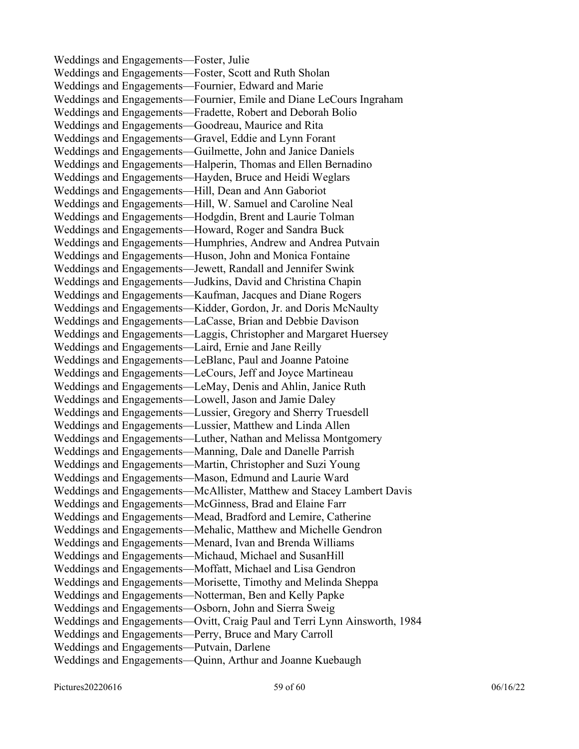Weddings and Engagements—Foster, Julie Weddings and Engagements—Foster, Scott and Ruth Sholan Weddings and Engagements—Fournier, Edward and Marie Weddings and Engagements—Fournier, Emile and Diane LeCours Ingraham Weddings and Engagements—Fradette, Robert and Deborah Bolio Weddings and Engagements—Goodreau, Maurice and Rita Weddings and Engagements—Gravel, Eddie and Lynn Forant Weddings and Engagements—Guilmette, John and Janice Daniels Weddings and Engagements—Halperin, Thomas and Ellen Bernadino Weddings and Engagements—Hayden, Bruce and Heidi Weglars Weddings and Engagements—Hill, Dean and Ann Gaboriot Weddings and Engagements—Hill, W. Samuel and Caroline Neal Weddings and Engagements—Hodgdin, Brent and Laurie Tolman Weddings and Engagements—Howard, Roger and Sandra Buck Weddings and Engagements—Humphries, Andrew and Andrea Putvain Weddings and Engagements—Huson, John and Monica Fontaine Weddings and Engagements—Jewett, Randall and Jennifer Swink Weddings and Engagements—Judkins, David and Christina Chapin Weddings and Engagements—Kaufman, Jacques and Diane Rogers Weddings and Engagements—Kidder, Gordon, Jr. and Doris McNaulty Weddings and Engagements—LaCasse, Brian and Debbie Davison Weddings and Engagements—Laggis, Christopher and Margaret Huersey Weddings and Engagements—Laird, Ernie and Jane Reilly Weddings and Engagements—LeBlanc, Paul and Joanne Patoine Weddings and Engagements—LeCours, Jeff and Joyce Martineau Weddings and Engagements—LeMay, Denis and Ahlin, Janice Ruth Weddings and Engagements—Lowell, Jason and Jamie Daley Weddings and Engagements—Lussier, Gregory and Sherry Truesdell Weddings and Engagements—Lussier, Matthew and Linda Allen Weddings and Engagements—Luther, Nathan and Melissa Montgomery Weddings and Engagements—Manning, Dale and Danelle Parrish Weddings and Engagements—Martin, Christopher and Suzi Young Weddings and Engagements—Mason, Edmund and Laurie Ward Weddings and Engagements—McAllister, Matthew and Stacey Lambert Davis Weddings and Engagements—McGinness, Brad and Elaine Farr Weddings and Engagements—Mead, Bradford and Lemire, Catherine Weddings and Engagements—Mehalic, Matthew and Michelle Gendron Weddings and Engagements—Menard, Ivan and Brenda Williams Weddings and Engagements—Michaud, Michael and SusanHill Weddings and Engagements—Moffatt, Michael and Lisa Gendron Weddings and Engagements—Morisette, Timothy and Melinda Sheppa Weddings and Engagements—Notterman, Ben and Kelly Papke Weddings and Engagements—Osborn, John and Sierra Sweig Weddings and Engagements—Ovitt, Craig Paul and Terri Lynn Ainsworth, 1984 Weddings and Engagements—Perry, Bruce and Mary Carroll Weddings and Engagements—Putvain, Darlene Weddings and Engagements—Quinn, Arthur and Joanne Kuebaugh